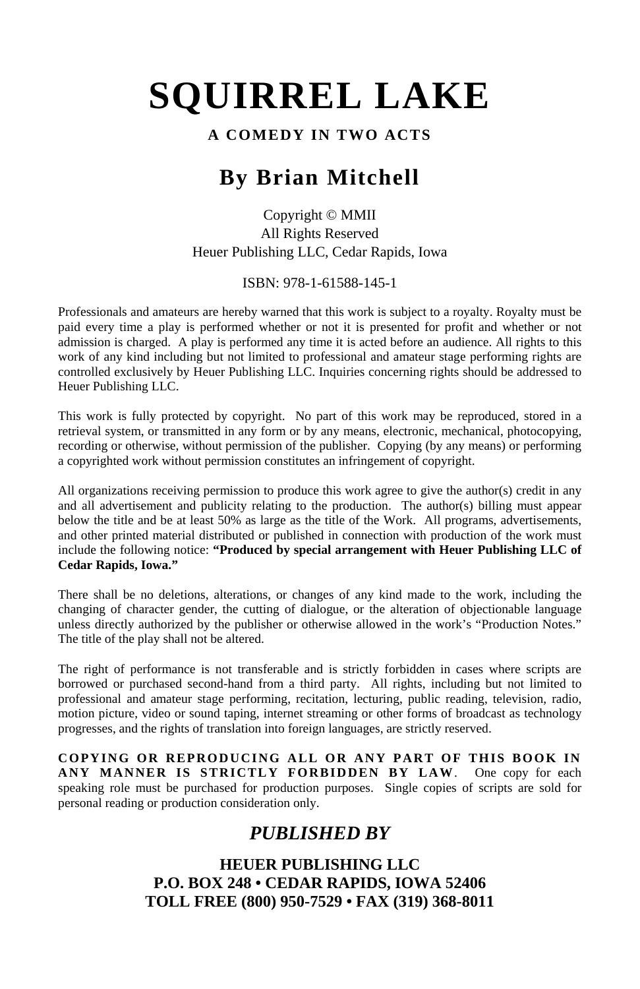#### **A COMEDY IN TWO ACTS**

# **By Brian Mitchell**

Copyright © MMII All Rights Reserved Heuer Publishing LLC, Cedar Rapids, Iowa

ISBN: 978-1-61588-145-1

Professionals and amateurs are hereby warned that this work is subject to a royalty. Royalty must be paid every time a play is performed whether or not it is presented for profit and whether or not admission is charged. A play is performed any time it is acted before an audience. All rights to this work of any kind including but not limited to professional and amateur stage performing rights are controlled exclusively by Heuer Publishing LLC. Inquiries concerning rights should be addressed to Heuer Publishing LLC.

This work is fully protected by copyright. No part of this work may be reproduced, stored in a retrieval system, or transmitted in any form or by any means, electronic, mechanical, photocopying, recording or otherwise, without permission of the publisher. Copying (by any means) or performing a copyrighted work without permission constitutes an infringement of copyright.

All organizations receiving permission to produce this work agree to give the author(s) credit in any and all advertisement and publicity relating to the production. The author(s) billing must appear below the title and be at least 50% as large as the title of the Work. All programs, advertisements, and other printed material distributed or published in connection with production of the work must include the following notice: **"Produced by special arrangement with Heuer Publishing LLC of Cedar Rapids, Iowa."**

There shall be no deletions, alterations, or changes of any kind made to the work, including the changing of character gender, the cutting of dialogue, or the alteration of objectionable language unless directly authorized by the publisher or otherwise allowed in the work's "Production Notes." The title of the play shall not be altered.

The right of performance is not transferable and is strictly forbidden in cases where scripts are borrowed or purchased second-hand from a third party. All rights, including but not limited to professional and amateur stage performing, recitation, lecturing, public reading, television, radio, motion picture, video or sound taping, internet streaming or other forms of broadcast as technology progresses, and the rights of translation into foreign languages, are strictly reserved.

**COPYING OR REPRODUCING ALL OR ANY PART OF THIS BOOK IN ANY MANNER IS STRICTLY FORBIDDEN BY LAW**. One copy for each speaking role must be purchased for production purposes. Single copies of scripts are sold for personal reading or production consideration only.

# *PUBLISHED BY*

**HEUER PUBLISHING LLC P.O. BOX 248 • CEDAR RAPIDS, IOWA 52406 TOLL FREE (800) 950-7529 • FAX (319) 368-8011**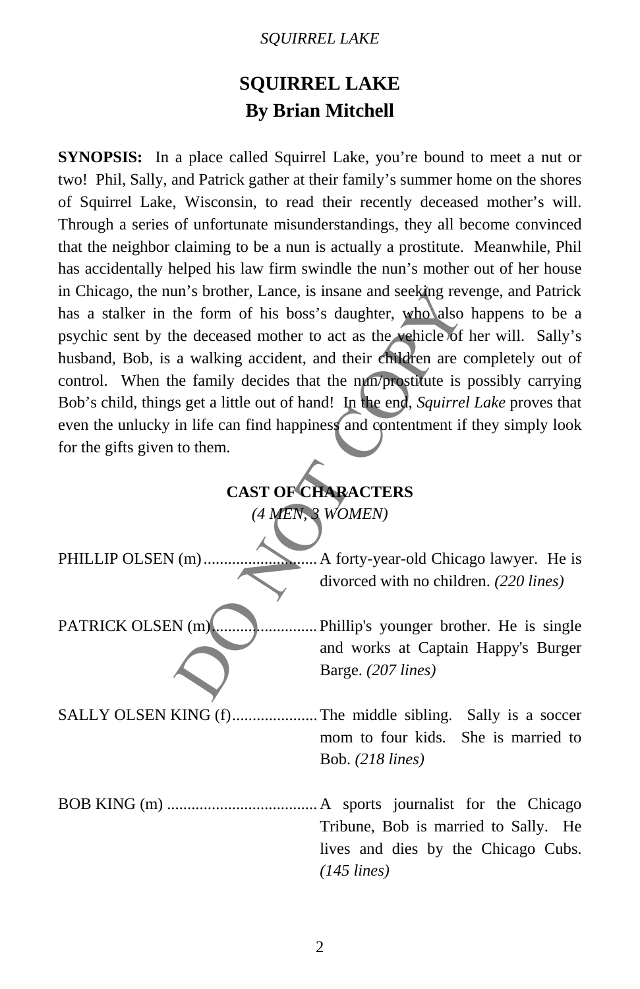# **SQUIRREL LAKE By Brian Mitchell**

**SYNOPSIS:** In a place called Squirrel Lake, you're bound to meet a nut or two! Phil, Sally, and Patrick gather at their family's summer home on the shores of Squirrel Lake, Wisconsin, to read their recently deceased mother's will. Through a series of unfortunate misunderstandings, they all become convinced that the neighbor claiming to be a nun is actually a prostitute. Meanwhile, Phil has accidentally helped his law firm swindle the nun's mother out of her house in Chicago, the nun's brother, Lance, is insane and seeking revenge, and Patrick has a stalker in the form of his boss's daughter, who also happens to be a psychic sent by the deceased mother to act as the vehicle of her will. Sally's husband, Bob, is a walking accident, and their children are completely out of control. When the family decides that the nun/prostitute is possibly carrying Bob's child, things get a little out of hand! In the end, *Squirrel Lake* proves that even the unlucky in life can find happiness and contentment if they simply look for the gifts given to them.

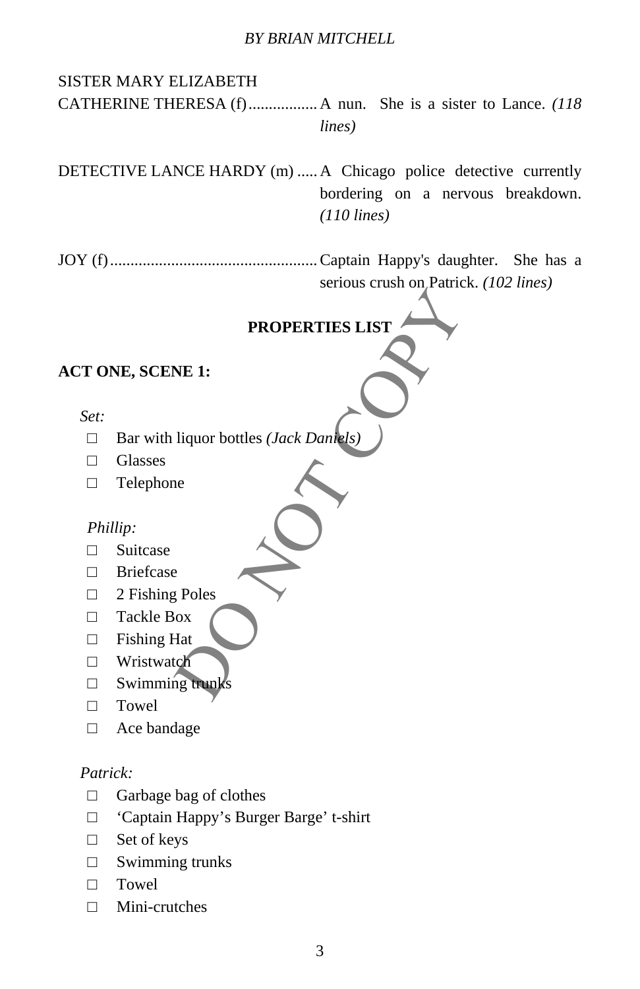# PROPERTIES LIST<br>
NE 1:<br>
liquor bottles (*Jack Dankels*)<br>
e<br>
Poles<br>
Poles<br>
At the primarks SISTER MARY ELIZABETH CATHERINE THERESA (f)................. A nun. She is a sister to Lance. *(118 lines)*  DETECTIVE LANCE HARDY (m) ..... A Chicago police detective currently bordering on a nervous breakdown. *(110 lines)*  JOY (f)...................................................Captain Happy's daughter. She has a serious crush on Patrick. *(102 lines)*  **PROPERTIES LIST ACT ONE, SCENE 1:**  *Set:*  □ Bar with liquor bottles *(Jack Daniels)* □ Glasses □ Telephone *Phillip:*  □ Suitcase □ Briefcase □ 2 Fishing Poles □ Tackle Box □ Fishing Hat □ Wristwatch  $\Box$  Swimming trunks □ Towel □ Ace bandage *Patrick:*   $\Box$  Garbage bag of clothes □ 'Captain Happy's Burger Barge' t-shirt □ Set of keys

- □ Swimming trunks
- □ Towel
- □ Mini-crutches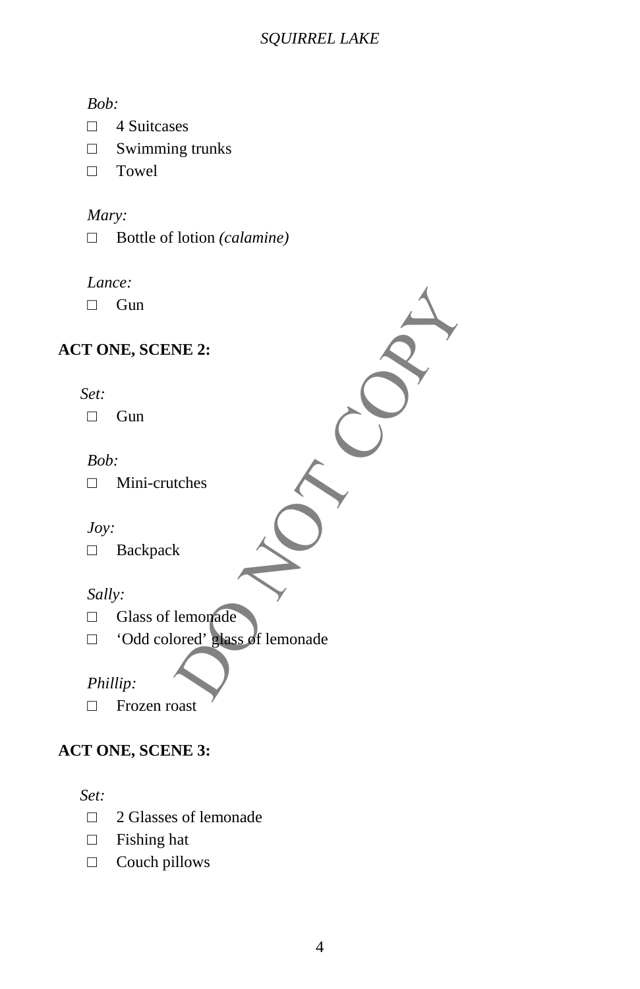#### *Bob:*

- □ 4 Suitcases
- □ Swimming trunks
- □ Towel

#### *Mary:*

□ Bottle of lotion *(calamine)* 

#### *Lance:*

□ Gun

# **ACT ONE, SCENE 2:**

#### *Set:*

□ Gun

#### *Bob:*

□ Mini-crutches

# *Joy:*

□ Backpack

#### *Sally:*

- □ Glass of lemonade
- NE 2:<br>
tches<br>
k<br>
lemorpade<br>
Dent : slass of lemonade □ 'Odd colored' glass of lemonade

# *Phillip:*

□ Frozen roast

# **ACT ONE, SCENE 3:**

*Set:* 

- □ 2 Glasses of lemonade
- □ Fishing hat
- □ Couch pillows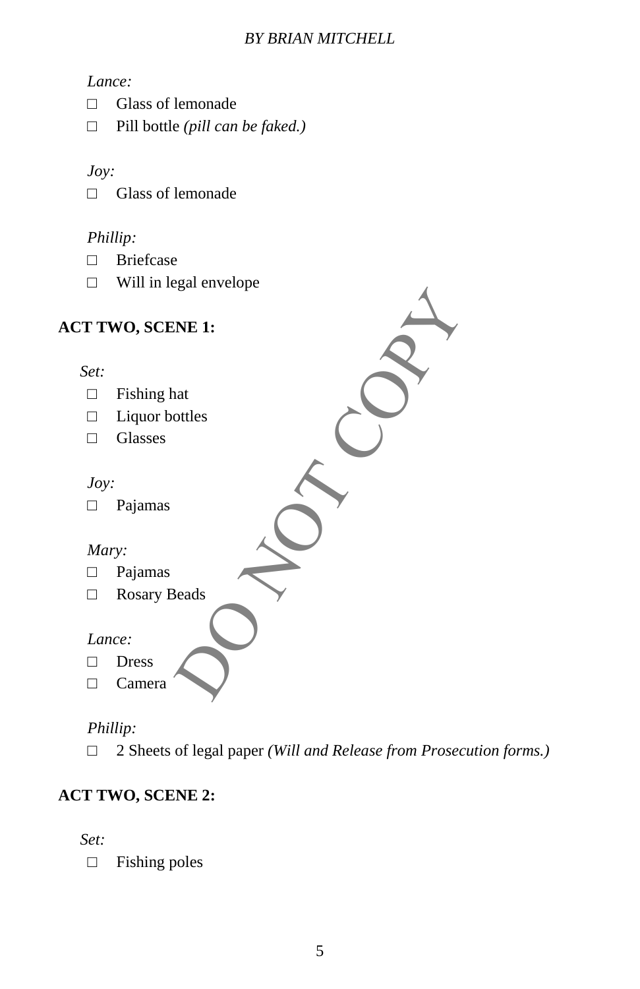## *Lance:*

- □ Glass of lemonade
- □ Pill bottle *(pill can be faked.)*

#### *Joy:*

□ Glass of lemonade

# *Phillip:*

- □ Briefcase
- □ Will in legal envelope

| <b>ACT TWO, SCENE 1:</b> |  |
|--------------------------|--|
|                          |  |
| Set:                     |  |
| Fishing hat<br>П         |  |
| Liquor bottles<br>П      |  |
| Glasses<br>$\Box$        |  |
|                          |  |
| Joy:                     |  |
| Pajamas                  |  |
|                          |  |
| Mary:                    |  |
| Pajamas<br>П             |  |
| Rosary Beads<br>П        |  |
|                          |  |
| Lance:                   |  |
| <b>Dress</b>             |  |
| Camera                   |  |
|                          |  |

# *Phillip:*

□ 2 Sheets of legal paper *(Will and Release from Prosecution forms.)*

# **ACT TWO, SCENE 2:**

*Set:* 

□ Fishing poles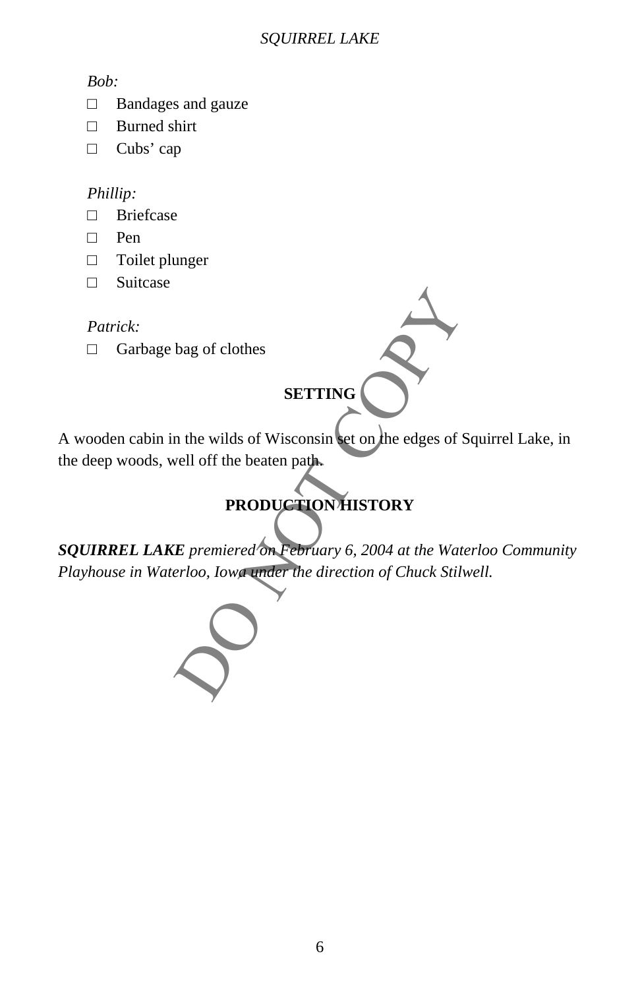#### *Bob:*

- □ Bandages and gauze
- □ Burned shirt
- □ Cubs' cap

# *Phillip:*

- □ Briefcase
- □ Pen
- □ Toilet plunger
- □ Suitcase

# *Patrick:*

□ Garbage bag of clothes

# **SETTING**

A wooden cabin in the wilds of Wisconsin set on the edges of Squirrel Lake, in the deep woods, well off the beaten path.

# **PRODUCTION HISTORY**

bag of clothes<br>
SETTING<br>
In the wilds of Wisconsin set on the edges of Squirrel I<br>
vell off the beaten path.<br>
PRODUCTION HISTORY<br>
E premiered on February 6, 2004 at the Waterloo Cor<br>
period, Iowa under the direction of Chu *SQUIRREL LAKE premiered on February 6, 2004 at the Waterloo Community Playhouse in Waterloo, Iowa under the direction of Chuck Stilwell.* 

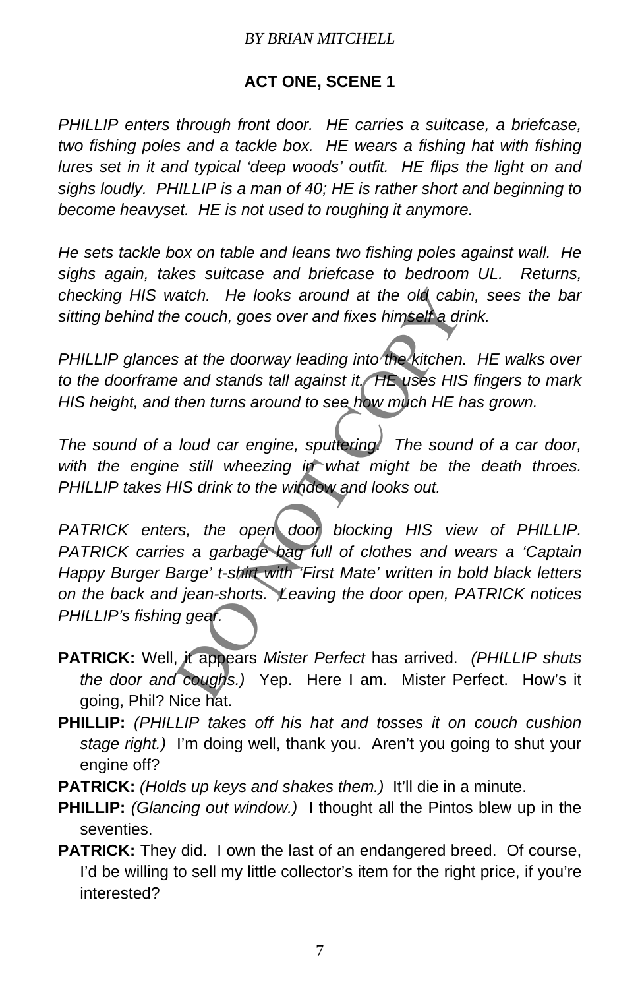# **ACT ONE, SCENE 1**

*PHILLIP enters through front door. HE carries a suitcase, a briefcase,*  two fishing poles and a tackle box. HE wears a fishing hat with fishing *lures set in it and typical 'deep woods' outfit. HE flips the light on and sighs loudly. PHILLIP is a man of 40; HE is rather short and beginning to become heavyset. HE is not used to roughing it anymore.*

*He sets tackle box on table and leans two fishing poles against wall. He sighs again, takes suitcase and briefcase to bedroom UL. Returns, checking HIS watch. He looks around at the old cabin, sees the bar sitting behind the couch, goes over and fixes himself a drink.* 

*PHILLIP glances at the doorway leading into the kitchen. HE walks over to the doorframe and stands tall against it. HE uses HIS fingers to mark HIS height, and then turns around to see how much HE has grown.*

*The sound of a loud car engine, sputtering. The sound of a car door,*  with the engine still wheezing in what might be the death throes. *PHILLIP takes HIS drink to the window and looks out.*

vatch. He looks around at the old cabin, sees<br>
e couch, goes over and fixes himself a drink.<br>
s at the doorway leading into the kitchen. HE was<br>
e and stands tall against it. HE uses HIS fingers<br>
then turns around to see h *PATRICK enters, the open door blocking HIS view of PHILLIP. PATRICK carries a garbage bag full of clothes and wears a 'Captain Happy Burger Barge' t-shirt with 'First Mate' written in bold black letters on the back and jean-shorts. Leaving the door open, PATRICK notices PHILLIP's fishing gear.*

- **PATRICK:** Well, it appears *Mister Perfect* has arrived. *(PHILLIP shuts the door and coughs.)* Yep. Here I am. Mister Perfect. How's it going, Phil? Nice hat.
- **PHILLIP:** *(PHILLIP takes off his hat and tosses it on couch cushion stage right.)* I'm doing well, thank you. Aren't you going to shut your engine off?
- **PATRICK:** *(Holds up keys and shakes them.)* It'll die in a minute.
- **PHILLIP:** *(Glancing out window.)* I thought all the Pintos blew up in the seventies.
- **PATRICK:** They did. I own the last of an endangered breed. Of course, I'd be willing to sell my little collector's item for the right price, if you're interested?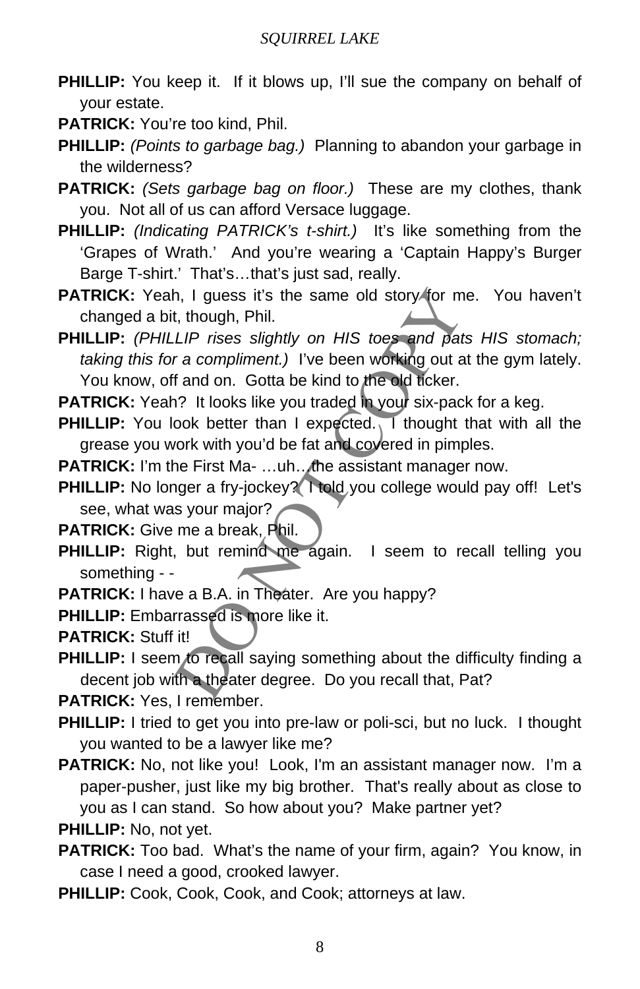- **PHILLIP:** You keep it. If it blows up, I'll sue the company on behalf of your estate.
- **PATRICK:** You're too kind, Phil.
- **PHILLIP:** *(Points to garbage bag.)* Planning to abandon your garbage in the wilderness?
- **PATRICK:** *(Sets garbage bag on floor.)* These are my clothes, thank you. Not all of us can afford Versace luggage.
- **PHILLIP:** *(Indicating PATRICK's t-shirt.)* It's like something from the 'Grapes of Wrath.' And you're wearing a 'Captain Happy's Burger Barge T-shirt.' That's…that's just sad, really.
- PATRICK: Yeah, I guess it's the same old story for me. You haven't changed a bit, though, Phil.

h, I guess it's the same old story for me. You<br>
t, though, Phil.<br> *LIP rises slightly on HIS toes and pats HIS s*<br> *r a compliment.)* I've been working out at the gyi<br>
f and on. Gotta be kind to the old ticker.<br>
1? It look **PHILLIP:** *(PHILLIP rises slightly on HIS toes and pats HIS stomach; taking this for a compliment.)* I've been working out at the gym lately. You know, off and on. Gotta be kind to the old ticker.

**PATRICK:** Yeah? It looks like you traded in your six-pack for a keg.

**PHILLIP:** You look better than I expected. I thought that with all the grease you work with you'd be fat and covered in pimples.

**PATRICK:** I'm the First Ma- ...uh... the assistant manager now.

- **PHILLIP:** No longer a fry-jockey? I told you college would pay off! Let's see, what was your major?
- **PATRICK:** Give me a break, Phil.
- **PHILLIP:** Right, but remind me again. I seem to recall telling you something - -
- PATRICK: I have a B.A. in Theater. Are you happy?
- **PHILLIP:** Embarrassed is more like it.

**PATRICK:** Stuff it!

**PHILLIP:** I seem to recall saying something about the difficulty finding a decent job with a theater degree. Do you recall that, Pat?

**PATRICK:** Yes, I remember.

- **PHILLIP:** I tried to get you into pre-law or poli-sci, but no luck. I thought you wanted to be a lawyer like me?
- PATRICK: No, not like you! Look, I'm an assistant manager now. I'm a paper-pusher, just like my big brother. That's really about as close to you as I can stand. So how about you? Make partner yet?
- **PHILLIP:** No, not yet.
- **PATRICK:** Too bad. What's the name of your firm, again? You know, in case I need a good, crooked lawyer.
- PHILLIP: Cook, Cook, Cook, and Cook; attorneys at law.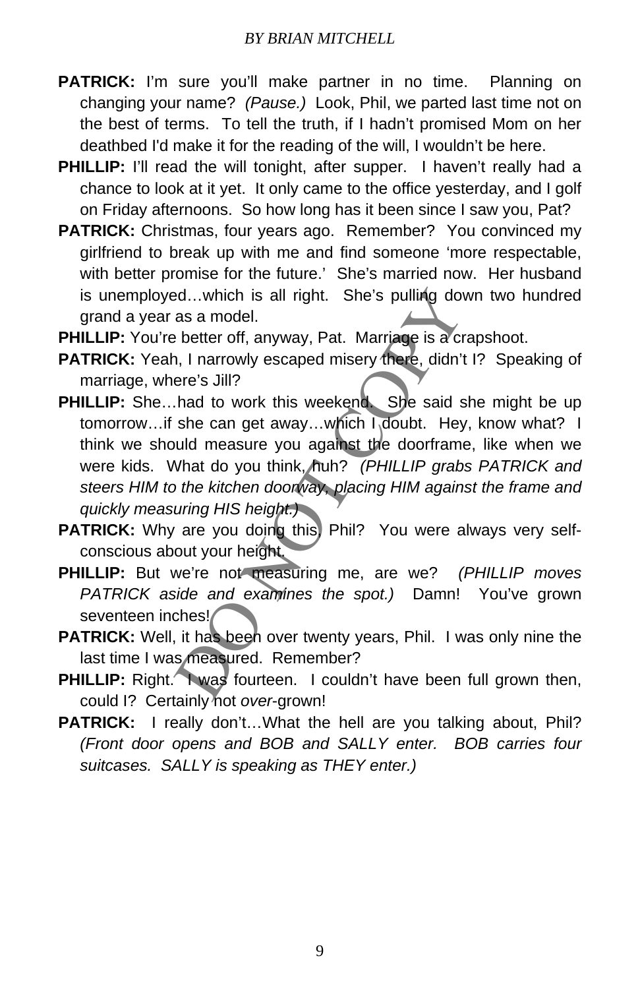- PATRICK: I'm sure you'll make partner in no time. Planning on changing your name? *(Pause.)* Look, Phil, we parted last time not on the best of terms. To tell the truth, if I hadn't promised Mom on her deathbed I'd make it for the reading of the will, I wouldn't be here.
- **PHILLIP:** I'll read the will tonight, after supper. I haven't really had a chance to look at it yet. It only came to the office yesterday, and I golf on Friday afternoons. So how long has it been since I saw you, Pat?
- **PATRICK:** Christmas, four years ago. Remember? You convinced my girlfriend to break up with me and find someone 'more respectable, with better promise for the future.' She's married now. Her husband is unemployed...which is all right. She's pulling down two hundred grand a year as a model.
- **PHILLIP:** You're better off, anyway, Pat. Marriage is a crapshoot.
- **PATRICK:** Yeah, I narrowly escaped misery there, didn't I? Speaking of marriage, where's Jill?
- ed...which is all right. She's pulling down two<br>as a model.<br>better off, anyway, Pat. Marriage is a crapshoot<br>n, I narrowly escaped misery there, didn't 1? Spe<br>ere's Jill?<br>had to work this weekend. She said she might<br>she ca **PHILLIP:** She...had to work this weekend. She said she might be up tomorrow…if she can get away…which I doubt. Hey, know what? I think we should measure you against the doorframe, like when we were kids. What do you think, huh? *(PHILLIP grabs PATRICK and steers HIM to the kitchen doorway, placing HIM against the frame and quickly measuring HIS height.)*
- **PATRICK:** Why are you doing this, Phil? You were always very selfconscious about your height.
- **PHILLIP:** But we're not measuring me, are we? *(PHILLIP moves PATRICK aside and examines the spot.)* Damn! You've grown seventeen inches!
- PATRICK: Well, it has been over twenty years, Phil. I was only nine the last time I was measured. Remember?
- **PHILLIP:** Right. I was fourteen. I couldn't have been full grown then, could I? Certainly not *over*-grown!
- PATRICK: I really don't...What the hell are you talking about, Phil? *(Front door opens and BOB and SALLY enter. BOB carries four suitcases. SALLY is speaking as THEY enter.)*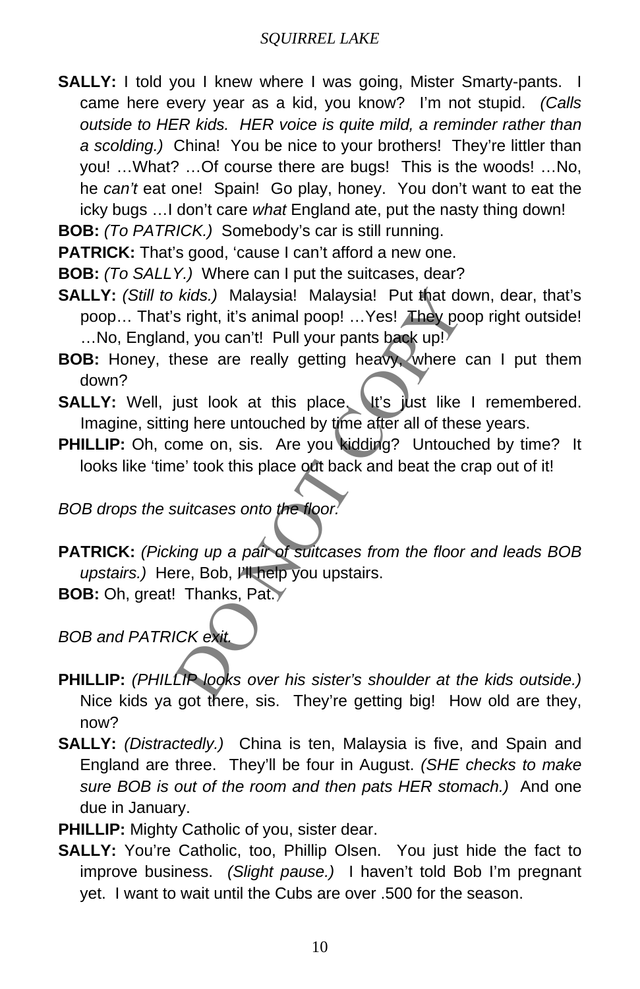**SALLY:** I told you I knew where I was going, Mister Smarty-pants. I came here every year as a kid, you know? I'm not stupid. *(Calls outside to HER kids. HER voice is quite mild, a reminder rather than a scolding.)* China! You be nice to your brothers! They're littler than you! …What? …Of course there are bugs! This is the woods! …No, he *can't* eat one! Spain! Go play, honey. You don't want to eat the icky bugs …I don't care *what* England ate, put the nasty thing down!

**BOB:** *(To PATRICK.)* Somebody's car is still running.

**PATRICK:** That's good, 'cause I can't afford a new one.

**BOB:** *(To SALLY.)* Where can I put the suitcases, dear?

- *kids.)* Malaysia! Malaysia! Put that down, deas right, it's animal poop! ...Yes! They poop right<br>al, you can't! Pull your pants back up!<br>hese are really getting heavy, where can I p<br>iust look at this place. It's just like **SALLY:** *(Still to kids.)* Malaysia! Malaysia! Put that down, dear, that's poop… That's right, it's animal poop! …Yes! They poop right outside! …No, England, you can't! Pull your pants back up!
- **BOB:** Honey, these are really getting heavy, where can I put them down?
- **SALLY:** Well, just look at this place. It's just like I remembered. Imagine, sitting here untouched by time after all of these years.
- **PHILLIP:** Oh, come on, sis. Are you kidding? Untouched by time? It looks like 'time' took this place out back and beat the crap out of it!

*BOB drops the suitcases onto the floor.*

**PATRICK:** *(Picking up a pair of suitcases from the floor and leads BOB upstairs.)* Here, Bob, I'll help you upstairs.

**BOB:** Oh, great! Thanks, Pat.

*BOB and PATRICK exit.*

- **PHILLIP:** *(PHILLIP looks over his sister's shoulder at the kids outside.)*  Nice kids ya got there, sis. They're getting big! How old are they, now?
- **SALLY:** *(Distractedly.)* China is ten, Malaysia is five, and Spain and England are three. They'll be four in August. *(SHE checks to make sure BOB is out of the room and then pats HER stomach.)* And one due in January.
- **PHILLIP:** Mighty Catholic of you, sister dear.
- **SALLY:** You're Catholic, too, Phillip Olsen. You just hide the fact to improve business. *(Slight pause.)* I haven't told Bob I'm pregnant yet. I want to wait until the Cubs are over .500 for the season.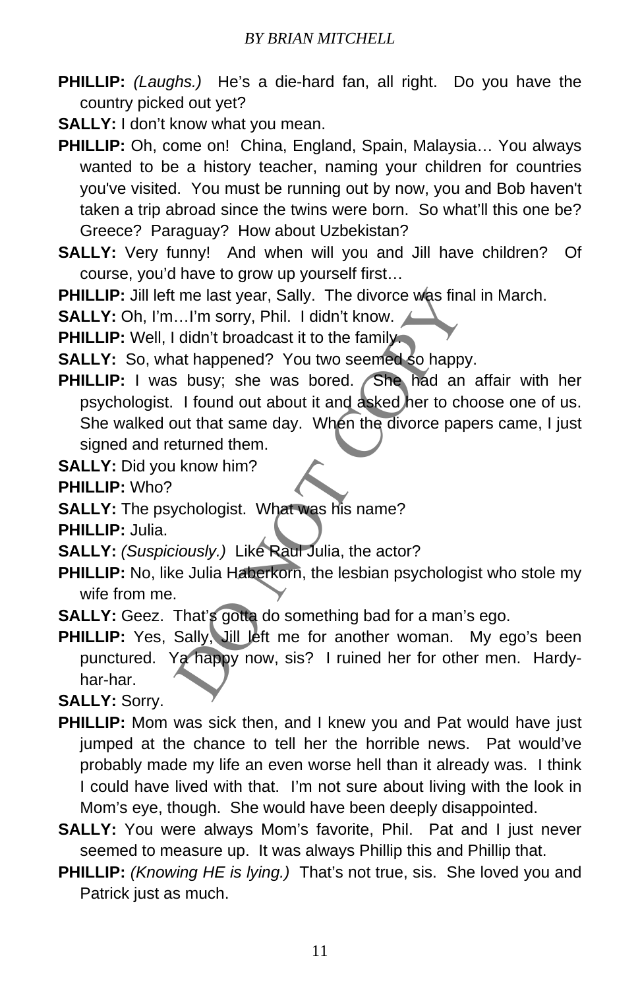- **PHILLIP:** *(Laughs.)* He's a die-hard fan, all right. Do you have the country picked out yet?
- **SALLY:** I don't know what you mean.
- **PHILLIP:** Oh, come on! China, England, Spain, Malaysia… You always wanted to be a history teacher, naming your children for countries you've visited. You must be running out by now, you and Bob haven't taken a trip abroad since the twins were born. So what'll this one be? Greece? Paraguay? How about Uzbekistan?
- **SALLY:** Very funny! And when will you and Jill have children? Of course, you'd have to grow up yourself first…

**PHILLIP:** Jill left me last year, Sally. The divorce was final in March.

**SALLY:** Oh, I'm…I'm sorry, Phil. I didn't know.

**PHILLIP:** Well, I didn't broadcast it to the family.

**SALLY:** So, what happened? You two seemed so happy.

Is me last year, Sally. The divorce was final in Martims Internal Common Control in the family and the family at happened? You two seemed so happy.<br>
So busy; she was bored. She had an affair internal and a skeep had an aff PHILLIP: I was busy; she was bored. She had an affair with her psychologist. I found out about it and asked her to choose one of us. She walked out that same day. When the divorce papers came, I just signed and returned them.

**SALLY:** Did you know him?

**PHILLIP:** Who?

**SALLY:** The psychologist. What was his name?

**PHILLIP:** Julia.

**SALLY:** *(Suspiciously.)* Like Raul Julia, the actor?

**PHILLIP:** No, like Julia Haberkorn, the lesbian psychologist who stole my wife from me.

**SALLY:** Geez. That's gotta do something bad for a man's ego.

PHILLIP: Yes, Sally, Jill left me for another woman. My ego's been punctured. Ya happy now, sis? I ruined her for other men. Hardyhar-har.

**SALLY:** Sorry.

- **PHILLIP:** Mom was sick then, and I knew you and Pat would have just jumped at the chance to tell her the horrible news. Pat would've probably made my life an even worse hell than it already was. I think I could have lived with that. I'm not sure about living with the look in Mom's eye, though. She would have been deeply disappointed.
- **SALLY:** You were always Mom's favorite, Phil. Pat and I just never seemed to measure up. It was always Phillip this and Phillip that.
- **PHILLIP:** *(Knowing HE is lying.)* That's not true, sis. She loved you and Patrick just as much.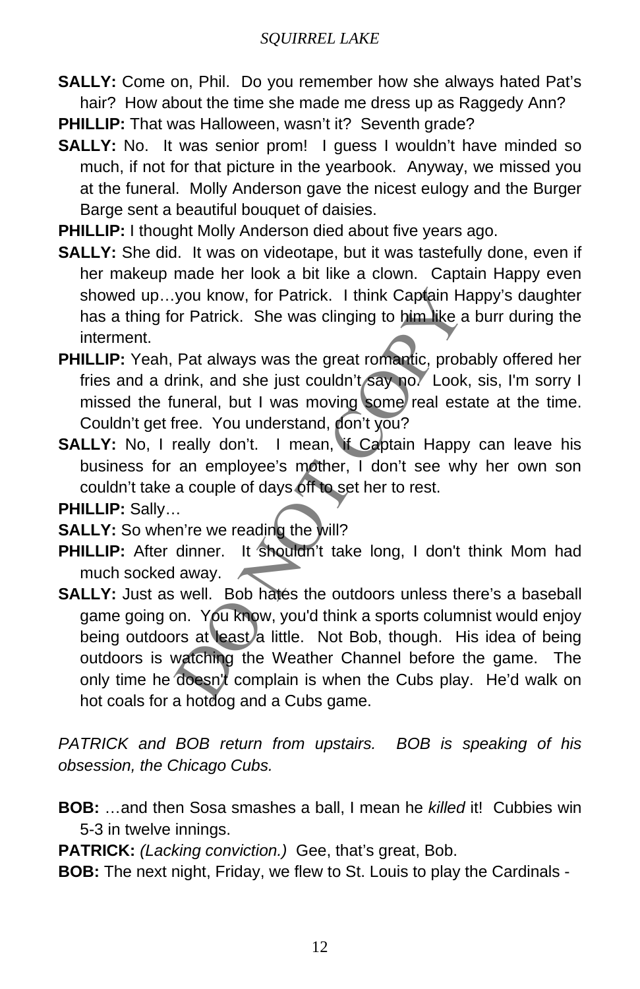**SALLY:** Come on, Phil. Do you remember how she always hated Pat's hair? How about the time she made me dress up as Raggedy Ann?

**PHILLIP:** That was Halloween, wasn't it? Seventh grade?

- **SALLY:** No. It was senior prom! I guess I wouldn't have minded so much, if not for that picture in the yearbook. Anyway, we missed you at the funeral. Molly Anderson gave the nicest eulogy and the Burger Barge sent a beautiful bouquet of daisies.
- **PHILLIP:** I thought Molly Anderson died about five years ago.
- **SALLY:** She did. It was on videotape, but it was tastefully done, even if her makeup made her look a bit like a clown. Captain Happy even showed up…you know, for Patrick. I think Captain Happy's daughter has a thing for Patrick. She was clinging to him like a burr during the interment.
- **PHILLIP:** Yeah, Pat always was the great romantic, probably offered her fries and a drink, and she just couldn't say no. Look, sis, I'm sorry I missed the funeral, but I was moving some real estate at the time. Couldn't get free. You understand, don't you?
- **SALLY:** No, I really don't. I mean, if Captain Happy can leave his business for an employee's mother, I don't see why her own son couldn't take a couple of days off to set her to rest.

**PHILLIP:** Sally…

**SALLY:** So when're we reading the will?

- PHILLIP: After dinner. It shouldn't take long, I don't think Mom had much socked away.
- you know, for Patrick. I think Captain Happy's cor<br>
Patrick. She was clinging to him like a burr du<br>
Pat always was the great romantic, probably off<br>
rink, and she just couldn't say no. Look, sis, I'n<br>
uneral, but I was mo **SALLY:** Just as well. Bob hates the outdoors unless there's a baseball game going on. You know, you'd think a sports columnist would enjoy being outdoors at least a little. Not Bob, though. His idea of being outdoors is watching the Weather Channel before the game. The only time he doesn't complain is when the Cubs play. He'd walk on hot coals for a hotdog and a Cubs game.

*PATRICK and BOB return from upstairs. BOB is speaking of his obsession, the Chicago Cubs.* 

**BOB:** …and then Sosa smashes a ball, I mean he *killed* it! Cubbies win 5-3 in twelve innings.

**PATRICK:** *(Lacking conviction.)* Gee, that's great, Bob.

**BOB:** The next night, Friday, we flew to St. Louis to play the Cardinals -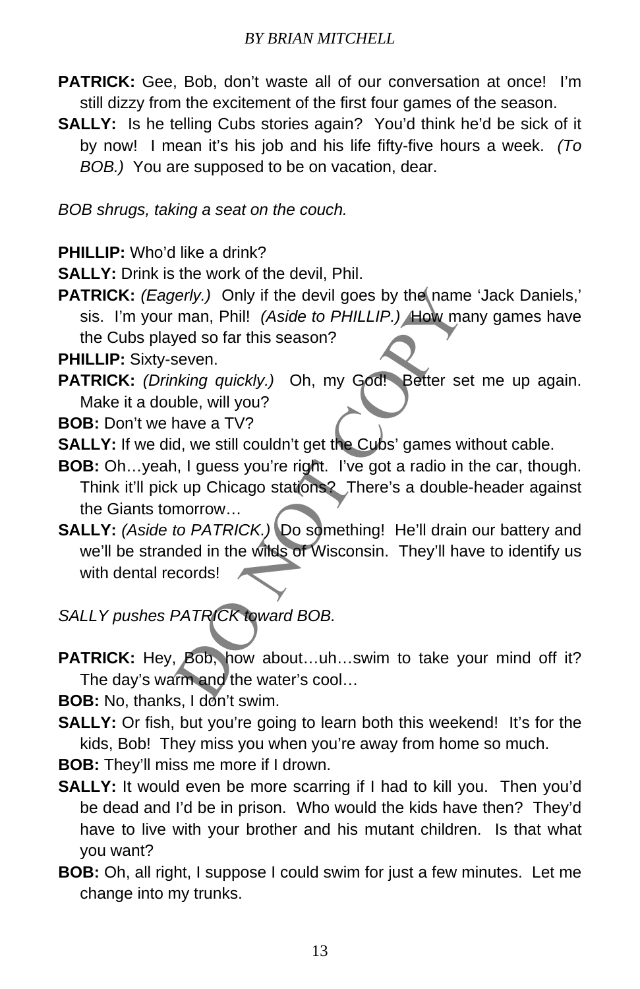- PATRICK: Gee, Bob, don't waste all of our conversation at once! I'm still dizzy from the excitement of the first four games of the season.
- **SALLY:** Is he telling Cubs stories again? You'd think he'd be sick of it by now! I mean it's his job and his life fifty-five hours a week. *(To BOB.)* You are supposed to be on vacation, dear.

*BOB shrugs, taking a seat on the couch.*

**PHILLIP:** Who'd like a drink?

**SALLY:** Drink is the work of the devil, Phil.

**PATRICK:** (Eagerly.) Only if the devil goes by the name 'Jack Daniels,' sis. I'm your man, Phil! *(Aside to PHILLIP.)* How many games have the Cubs played so far this season?

**PHILLIP:** Sixty-seven.

PATRICK: (Drinking quickly.) Oh, my God! Better set me up again. Make it a double, will you?

**BOB:** Don't we have a TV?

- **SALLY:** If we did, we still couldn't get the Cubs' games without cable.
- **BOB:** Oh…yeah, I guess you're right. I've got a radio in the car, though. Think it'll pick up Chicago stations? There's a double-header against the Giants tomorrow…
- erly.) Only if the devil goes by the name 'Jack I<br>man, Phil! (Aside to PHILLIP.) How many gam<br>yed so far this season?<br>seven.<br>hking quickly.) Oh, my God! Better set me up<br>the, will you?<br>have a TV?<br>d, we still couldn't get t **SALLY:** *(Aside to PATRICK.)* Do something! He'll drain our battery and we'll be stranded in the wilds of Wisconsin. They'll have to identify us with dental records!

*SALLY pushes PATRICK toward BOB.*

PATRICK: Hey, Bob, how about...uh...swim to take your mind off it? The day's warm and the water's cool…

**BOB:** No, thanks, I don't swim.

- **SALLY:** Or fish, but you're going to learn both this weekend! It's for the kids, Bob! They miss you when you're away from home so much.
- **BOB:** They'll miss me more if I drown.
- **SALLY:** It would even be more scarring if I had to kill you. Then you'd be dead and I'd be in prison. Who would the kids have then? They'd have to live with your brother and his mutant children. Is that what you want?
- **BOB:** Oh, all right, I suppose I could swim for just a few minutes. Let me change into my trunks.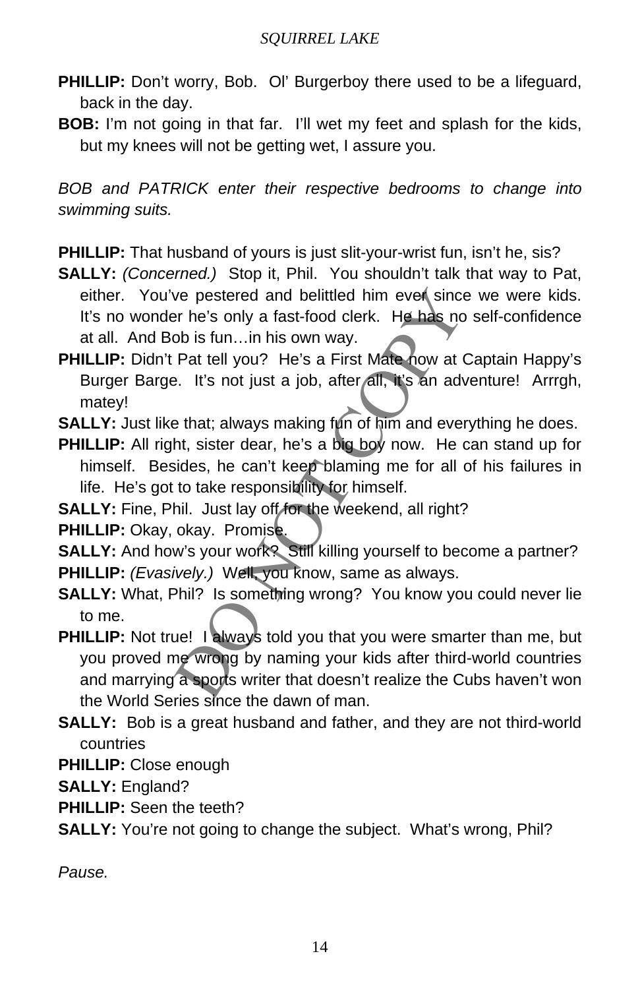- **PHILLIP:** Don't worry, Bob. Ol' Burgerboy there used to be a lifeguard, back in the day.
- **BOB:** I'm not going in that far. I'll wet my feet and splash for the kids, but my knees will not be getting wet, I assure you.

*BOB and PATRICK enter their respective bedrooms to change into swimming suits.* 

**PHILLIP:** That husband of yours is just slit-your-wrist fun, isn't he, sis?

**SALLY:** *(Concerned.)* Stop it, Phil. You shouldn't talk that way to Pat, either. You've pestered and belittled him ever since we were kids. It's no wonder he's only a fast-food clerk. He has no self-confidence at all. And Bob is fun…in his own way.

**PHILLIP:** Didn't Pat tell you? He's a First Mate now at Captain Happy's Burger Barge. It's not just a job, after all, it's an adventure! Arrrgh, matey!

**SALLY:** Just like that; always making fun of him and everything he does.

**PHILLIP:** All right, sister dear, he's a big boy now. He can stand up for himself. Besides, he can't keep blaming me for all of his failures in life. He's got to take responsibility for himself.

**SALLY:** Fine, Phil. Just lay off for the weekend, all right?

**PHILLIP:** Okay, okay. Promise.

**SALLY:** And how's your work? Still killing yourself to become a partner? **PHILLIP:** *(Evasively.)* Well, you know, same as always.

**SALLY:** What, Phil? Is something wrong? You know you could never lie to me.

we pestered and belittled him ever since we we<br>pr he's only a fast-food clerk. He has no self-cord<br>ob is fun...in his own way.<br>Pat tell you? He's a First Mate now at Captain<br>e. It's not just a job, after all, it's an adven **PHILLIP:** Not true! I always told you that you were smarter than me, but you proved me wrong by naming your kids after third-world countries and marrying a sports writer that doesn't realize the Cubs haven't won the World Series since the dawn of man.

**SALLY:** Bob is a great husband and father, and they are not third-world countries

**PHILLIP:** Close enough

- **SALLY:** England?
- **PHILLIP:** Seen the teeth?
- **SALLY:** You're not going to change the subject. What's wrong, Phil?

*Pause.*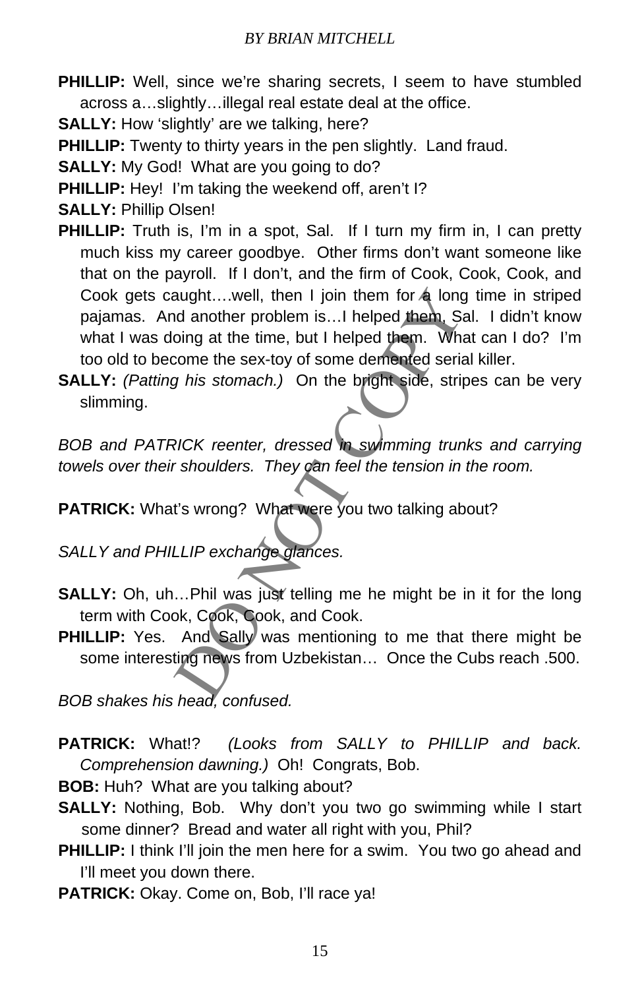PHILLIP: Well, since we're sharing secrets, I seem to have stumbled across a…slightly…illegal real estate deal at the office.

**SALLY:** How 'slightly' are we talking, here?

**PHILLIP:** Twenty to thirty years in the pen slightly. Land fraud.

**SALLY:** My God! What are you going to do?

**PHILLIP:** Hey! I'm taking the weekend off, aren't I?

- **SALLY:** Phillip Olsen!
- aught....well, then I join them for **4** long time in<br>the another problem is...I helped them. Sal. I did<br>oing at the time, but I helped them. What can I<br>come the sex-toy of some demented serial killer.<br>This stomach.) On the **PHILLIP:** Truth is, I'm in a spot, Sal. If I turn my firm in, I can pretty much kiss my career goodbye. Other firms don't want someone like that on the payroll. If I don't, and the firm of Cook, Cook, Cook, and Cook gets caught....well, then I join them for  $\triangle$  long time in striped pajamas. And another problem is…I helped them, Sal. I didn't know what I was doing at the time, but I helped them. What can I do? I'm too old to become the sex-toy of some demented serial killer.

**SALLY:** *(Patting his stomach.)* On the bright side, stripes can be very slimming.

*BOB and PATRICK reenter, dressed in swimming trunks and carrying towels over their shoulders. They can feel the tension in the room.* 

**PATRICK:** What's wrong? What were you two talking about?

*SALLY and PHILLIP exchange glances.*

- **SALLY:** Oh, uh...Phil was just telling me he might be in it for the long term with Cook, Cook, Cook, and Cook.
- **PHILLIP:** Yes. And Sally was mentioning to me that there might be some interesting news from Uzbekistan… Once the Cubs reach .500.

*BOB shakes his head, confused.* 

**PATRICK:** What!? *(Looks from SALLY to PHILLIP and back. Comprehension dawning.)* Oh! Congrats, Bob.

**BOB:** Huh? What are you talking about?

- **SALLY:** Nothing, Bob. Why don't you two go swimming while I start some dinner? Bread and water all right with you, Phil?
- **PHILLIP:** I think I'll join the men here for a swim. You two go ahead and I'll meet you down there.
- PATRICK: Okay. Come on, Bob, I'll race ya!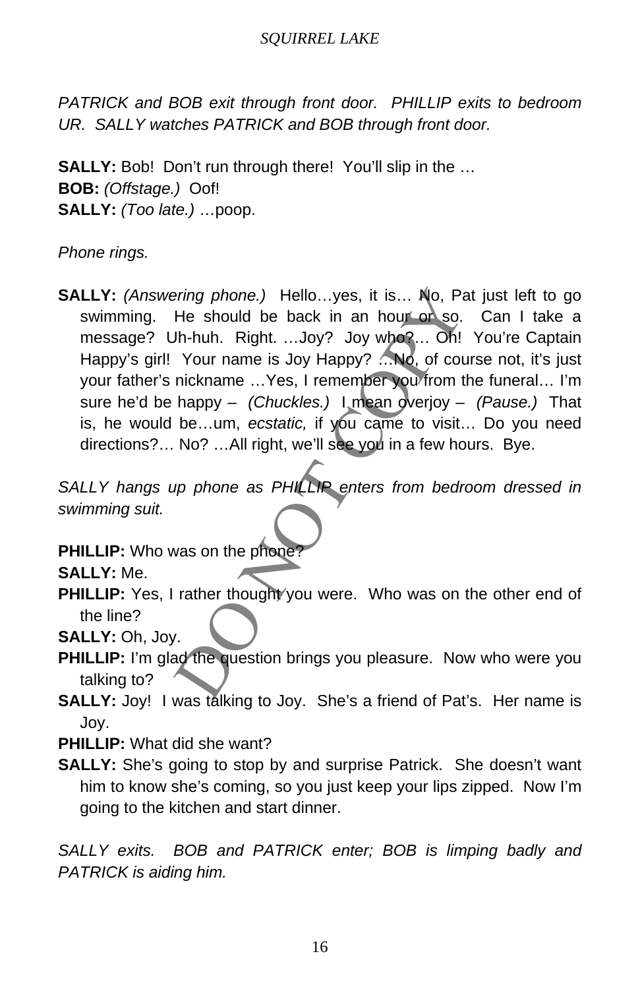*PATRICK and BOB exit through front door. PHILLIP exits to bedroom UR. SALLY watches PATRICK and BOB through front door.* 

**SALLY:** Bob! Don't run through there! You'll slip in the ... **BOB:** *(Offstage.)* Oof! **SALLY:** *(Too late.)* …poop.

*Phone rings.*

pring phone.) Hello...yes, it is... No, Pat just le<br>He should be back in an hour or so. Can I<br>Jh-huh. Right. ...Joy? Joy who?... Oh! You're<br>Your name is Joy Happy? ...No, of course not,<br>nickname ...Yes, I remember you from **SALLY:** *(Answering phone.)* Hello…yes, it is… No, Pat just left to go swimming. He should be back in an hour or so. Can I take a message? Uh-huh. Right. ...Joy? Joy who?... Oh! You're Captain Happy's girl! Your name is Joy Happy? ... No, of course not, it's just your father's nickname …Yes, I remember you from the funeral… I'm sure he'd be happy – *(Chuckles.)* I mean overjoy – *(Pause.)* That is, he would be…um, *ecstatic,* if you came to visit… Do you need directions?… No? …All right, we'll see you in a few hours. Bye.

*SALLY hangs up phone as PHILLIP enters from bedroom dressed in swimming suit.* 

**PHILLIP:** Who was on the phone

**SALLY:** Me.

**PHILLIP:** Yes, I rather thought you were. Who was on the other end of the line?

**SALLY:** Oh, Joy. **PHILLIP:** I'm glad the question brings you pleasure. Now who were you talking to?

**SALLY:** Joy! I was talking to Joy. She's a friend of Pat's. Her name is Joy.

**PHILLIP:** What did she want?

**SALLY:** She's going to stop by and surprise Patrick. She doesn't want him to know she's coming, so you just keep your lips zipped. Now I'm going to the kitchen and start dinner.

*SALLY exits. BOB and PATRICK enter; BOB is limping badly and PATRICK is aiding him.*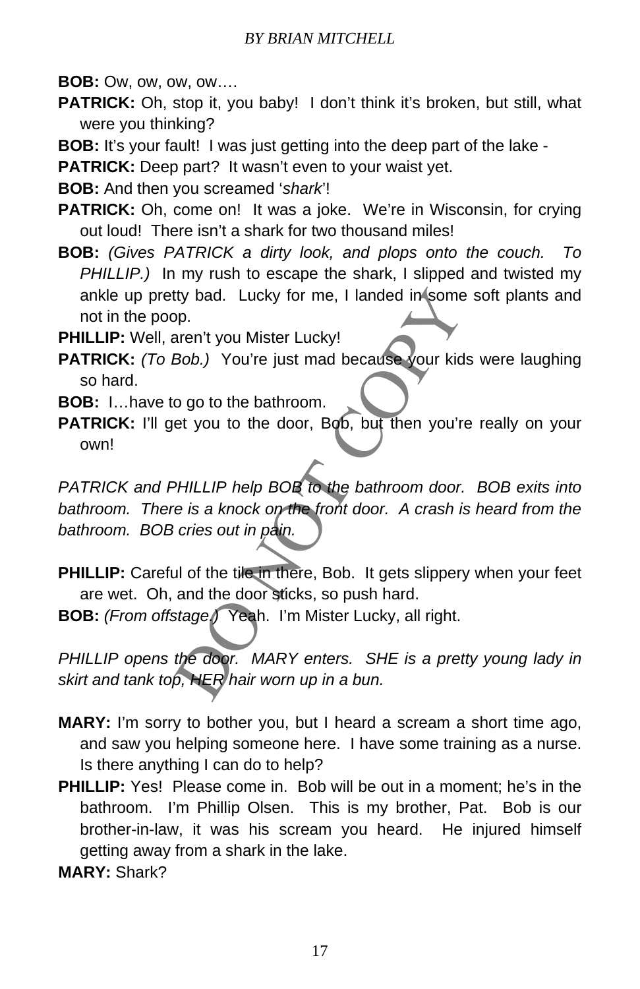**BOB:** Ow, ow, ow, ow….

**PATRICK:** Oh, stop it, you baby! I don't think it's broken, but still, what were you thinking?

**BOB:** It's your fault! I was just getting into the deep part of the lake -

**PATRICK:** Deep part? It wasn't even to your waist yet.

**BOB:** And then you screamed '*shark*'!

- **PATRICK:** Oh, come on! It was a joke. We're in Wisconsin, for crying out loud! There isn't a shark for two thousand miles!
- **BOB:** *(Gives PATRICK a dirty look, and plops onto the couch. To PHILLIP.)* In my rush to escape the shark, I slipped and twisted my ankle up pretty bad. Lucky for me, I landed in some soft plants and not in the poop.
- **PHILLIP:** Well, aren't you Mister Lucky!
- **PATRICK:** *(To Bob.)* You're just mad because your kids were laughing so hard.
- **BOB:** I…have to go to the bathroom.
- PATRICK: I'll get you to the door, Bob, but then you're really on your own!

the bad. Lucky for me, I landed in some soft plane.<br>
Supp.<br>
Denote the vou Mister Lucky!<br>
Bob.) You're just mad because your kids were long to the bathroom.<br>
Let you to the door, Bob, but then you're really<br>
Denote the bat *PATRICK and PHILLIP help BOB to the bathroom door. BOB exits into bathroom. There is a knock on the front door. A crash is heard from the bathroom. BOB cries out in pain.* 

**PHILLIP:** Careful of the tile in there, Bob. It gets slippery when your feet are wet. Oh, and the door sticks, so push hard.

**BOB:** *(From offstage.)* Yeah. I'm Mister Lucky, all right.

**PHILLIP opens the door.** MARY enters. SHE is a pretty young lady in *skirt and tank top, HER hair worn up in a bun.* 

- **MARY:** I'm sorry to bother you, but I heard a scream a short time ago, and saw you helping someone here. I have some training as a nurse. Is there anything I can do to help?
- **PHILLIP:** Yes! Please come in. Bob will be out in a moment; he's in the bathroom. I'm Phillip Olsen. This is my brother, Pat. Bob is our brother-in-law, it was his scream you heard. He injured himself getting away from a shark in the lake.
- **MARY:** Shark?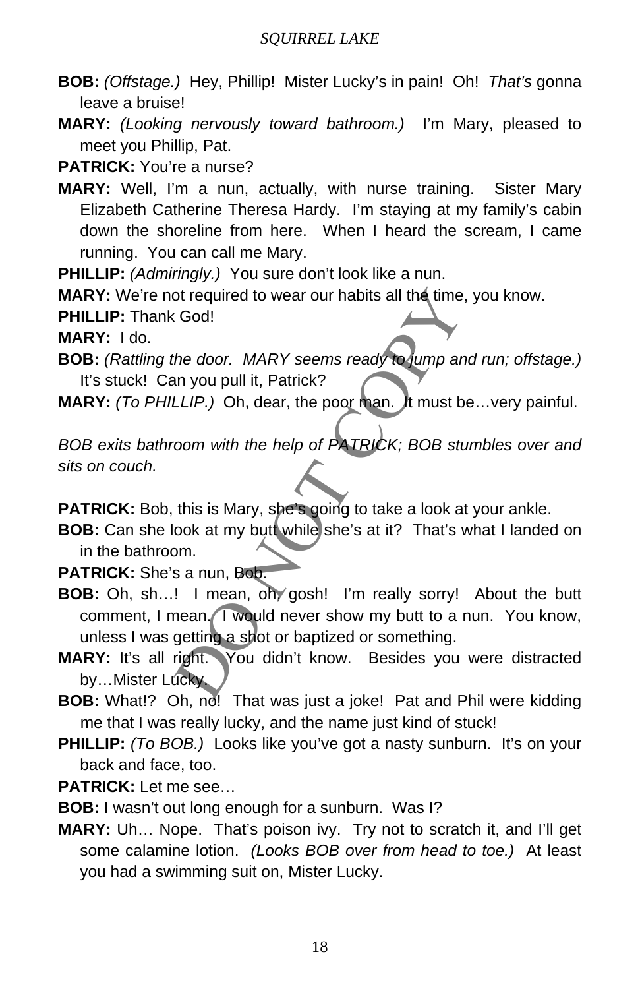- **BOB:** *(Offstage.)* Hey, Phillip! Mister Lucky's in pain! Oh! *That's* gonna leave a bruise!
- **MARY:** *(Looking nervously toward bathroom.)* I'm Mary, pleased to meet you Phillip, Pat.

**PATRICK:** You're a nurse?

**MARY:** Well, I'm a nun, actually, with nurse training. Sister Mary Elizabeth Catherine Theresa Hardy. I'm staying at my family's cabin down the shoreline from here. When I heard the scream, I came running. You can call me Mary.

**PHILLIP:** *(Admiringly.)* You sure don't look like a nun.

MARY: We're not required to wear our habits all the time, you know.

**PHILLIP:** Thank God!

**MARY:** I do.

**BOB:** *(Rattling the door. MARY seems ready to jump and run; offstage.)*  It's stuck! Can you pull it, Patrick?

**MARY:** *(To PHILLIP.)* Oh, dear, the poor man. It must be…very painful.

*BOB exits bathroom with the help of PATRICK; BOB stumbles over and sits on couch.* 

**PATRICK:** Bob, this is Mary, she's going to take a look at your ankle.

**BOB:** Can she look at my butt while she's at it? That's what I landed on in the bathroom.

**PATRICK:** She's a nun, Bob.

- of required to wear our habits all the time, you know<br>
God!<br>
the door. MARY seems ready to jump and run; on<br>
nyou pull it, Patrick?<br>
LLIP.) Oh, dear, the poor man. It must be...very<br>
com with the help of PATRICK; BOB stumb **BOB:** Oh, sh…! I mean, oh, gosh! I'm really sorry! About the butt comment, I mean. I would never show my butt to a nun. You know, unless I was getting a shot or baptized or something.
- **MARY:** It's all right. You didn't know. Besides you were distracted by...Mister Lucky.
- **BOB:** What!? Oh, no! That was just a joke! Pat and Phil were kidding me that I was really lucky, and the name just kind of stuck!
- **PHILLIP:** *(To BOB.)* Looks like you've got a nasty sunburn. It's on your back and face, too.

**PATRICK:** Let me see…

**BOB:** I wasn't out long enough for a sunburn. Was I?

**MARY:** Uh… Nope. That's poison ivy. Try not to scratch it, and I'll get some calamine lotion. *(Looks BOB over from head to toe.)* At least you had a swimming suit on, Mister Lucky.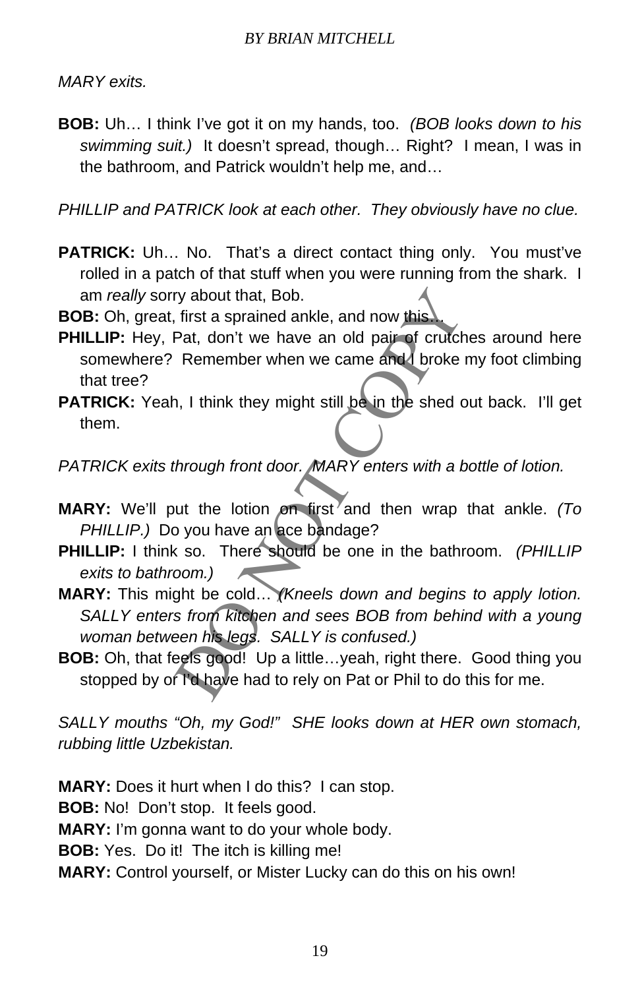*MARY exits.*

**BOB:** Uh… I think I've got it on my hands, too. *(BOB looks down to his swimming suit.)* It doesn't spread, though… Right? I mean, I was in the bathroom, and Patrick wouldn't help me, and…

*PHILLIP and PATRICK look at each other. They obviously have no clue.* 

- **PATRICK:** Uh... No. That's a direct contact thing only. You must've rolled in a patch of that stuff when you were running from the shark. I am *really* sorry about that, Bob.
- **BOB:** Oh, great, first a sprained ankle, and now this.
- **PHILLIP:** Hey, Pat, don't we have an old pair of crutches around here somewhere? Remember when we came and I broke my foot climbing that tree?
- **PATRICK:** Yeah, I think they might still be in the shed out back. I'll get them.

*PATRICK exits through front door. MARY enters with a bottle of lotion.* 

- **MARY:** We'll put the lotion on first and then wrap that ankle. *(To PHILLIP.)* Do you have an ace bandage?
- **PHILLIP:** I think so. There should be one in the bathroom. *(PHILLIP exits to bathroom.)*
- ry about that, Bob.<br>
First a sprained ankle, and now this<br>
Pat, don't we have an old pair of crutches arou<br>
Remember when we came and a broke my foot<br>
1, I think they might still be in the shed out back<br>
through front door **MARY:** This might be cold… *(Kneels down and begins to apply lotion. SALLY enters from kitchen and sees BOB from behind with a young woman between his legs. SALLY is confused.)*
- **BOB:** Oh, that feels good! Up a little...yeah, right there. Good thing you stopped by of I'd have had to rely on Pat or Phil to do this for me.

*SALLY mouths "Oh, my God!" SHE looks down at HER own stomach, rubbing little Uzbekistan.* 

**MARY:** Does it hurt when I do this? I can stop. **BOB:** No! Don't stop. It feels good. **MARY:** I'm gonna want to do your whole body. **BOB:** Yes. Do it! The itch is killing me! **MARY:** Control yourself, or Mister Lucky can do this on his own!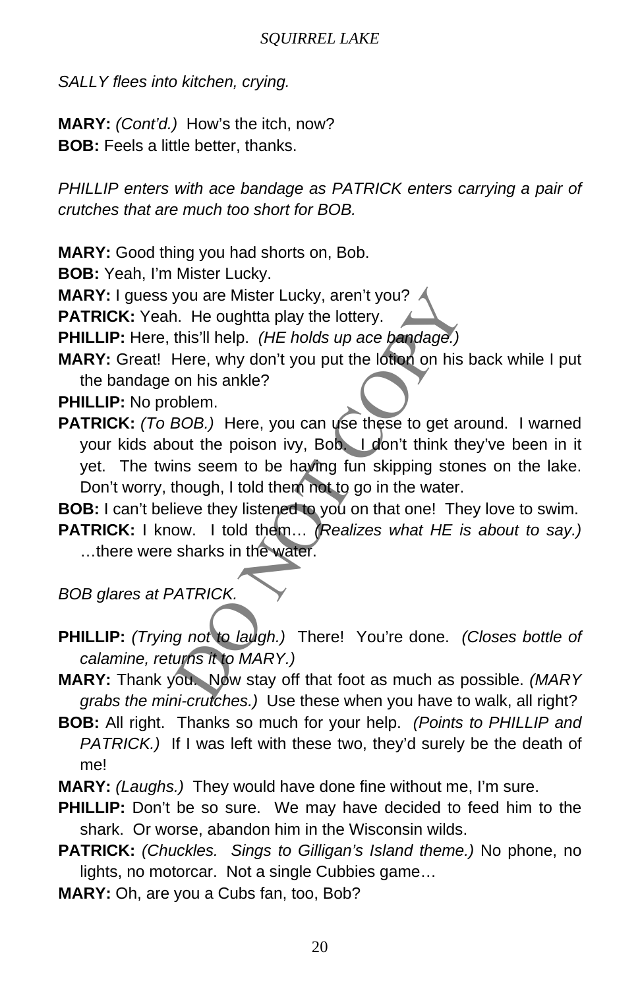*SALLY flees into kitchen, crying.* 

**MARY:** *(Cont'd.)* How's the itch, now? **BOB:** Feels a little better, thanks.

*PHILLIP enters with ace bandage as PATRICK enters carrying a pair of crutches that are much too short for BOB.*

**MARY:** Good thing you had shorts on, Bob.

**BOB:** Yeah, I'm Mister Lucky.

**MARY:** I guess you are Mister Lucky, aren't you?

**PATRICK:** Yeah. He oughtta play the lottery.

**PHILLIP:** Here, this'll help. *(HE holds up ace bandage.)*

**MARY:** Great! Here, why don't you put the lotion on his back while I put the bandage on his ankle?

**PHILLIP:** No problem.

you are Mister Lucky, aren't you?<br>
I. He oughtta play the lottery.<br>
this'll help. (HE holds up ace bandage.)<br>
Here, why don't you put the lottor on his back wt<br>
on his ankle?<br>
blem.<br>
BOB.) Here, you can use these to get ar **PATRICK:** (To BOB.) Here, you can use these to get around. I warned your kids about the poison ivy, Bob. I don't think they've been in it yet. The twins seem to be having fun skipping stones on the lake. Don't worry, though, I told them not to go in the water.

**BOB:** I can't believe they listened to you on that one! They love to swim.

**PATRICK:** I know. I told them… *(Realizes what HE is about to say.)*  …there were sharks in the water.

*BOB glares at PATRICK.*

- **PHILLIP:** *(Trying not to laugh.)* There! You're done. *(Closes bottle of calamine, returns it to MARY.)*
- **MARY:** Thank you. Now stay off that foot as much as possible. *(MARY grabs the mini-crutches.)* Use these when you have to walk, all right?
- **BOB:** All right. Thanks so much for your help. *(Points to PHILLIP and PATRICK.)* If I was left with these two, they'd surely be the death of me!
- **MARY:** *(Laughs.)* They would have done fine without me, I'm sure.
- **PHILLIP:** Don't be so sure. We may have decided to feed him to the shark. Or worse, abandon him in the Wisconsin wilds.
- **PATRICK:** *(Chuckles. Sings to Gilligan's Island theme.)* No phone, no lights, no motorcar. Not a single Cubbies game…
- **MARY:** Oh, are you a Cubs fan, too, Bob?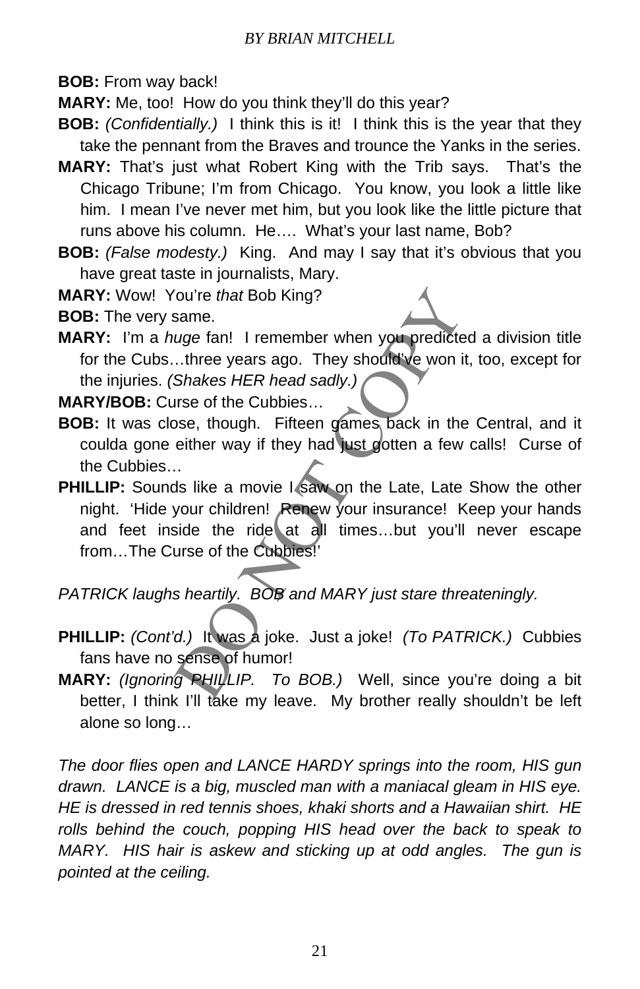**BOB:** From way back!

**MARY:** Me, too! How do you think they'll do this year?

- **BOB:** *(Confidentially.)* I think this is it! I think this is the year that they take the pennant from the Braves and trounce the Yanks in the series.
- **MARY:** That's just what Robert King with the Trib says. That's the Chicago Tribune; I'm from Chicago. You know, you look a little like him. I mean I've never met him, but you look like the little picture that runs above his column. He…. What's your last name, Bob?
- **BOB:** *(False modesty.)* King. And may I say that it's obvious that you have great taste in journalists, Mary.
- **MARY:** Wow! You're *that* Bob King?

**BOB:** The very same.

**MARY:** I'm a *huge* fan! I remember when you predicted a division title for the Cubs…three years ago. They should've won it, too, except for the injuries. *(Shakes HER head sadly.)*

**MARY/BOB:** Curse of the Cubbies…

- **BOB:** It was close, though. Fifteen games back in the Central, and it coulda gone either way if they had just gotten a few calls! Curse of the Cubbies…
- For that Bob King?<br>
Same.<br>
Uge fan! I remember when you predicted a divise the search of the Cubbies...<br>
Uge fan! I remember when you predicted a divise the correct set of the Cubbies...<br>
Use of the Cubbies...<br>
Use of the **PHILLIP:** Sounds like a movie I saw on the Late, Late Show the other night. 'Hide your children! Renew your insurance! Keep your hands and feet inside the ride at all times…but you'll never escape from…The Curse of the Cubbies!'

*PATRICK laughs heartily. BOB and MARY just stare threateningly.*

- **PHILLIP:** *(Cont'd.)* It was a joke. Just a joke! *(To PATRICK.)* Cubbies fans have no sense of humor!
- **MARY:** *(Ignoring PHILLIP. To BOB.)* Well, since you're doing a bit better, I think I'll take my leave. My brother really shouldn't be left alone so long…

*The door flies open and LANCE HARDY springs into the room, HIS gun drawn. LANCE is a big, muscled man with a maniacal gleam in HIS eye. HE is dressed in red tennis shoes, khaki shorts and a Hawaiian shirt. HE*  rolls behind the couch, popping HIS head over the back to speak to *MARY. HIS hair is askew and sticking up at odd angles. The gun is pointed at the ceiling.*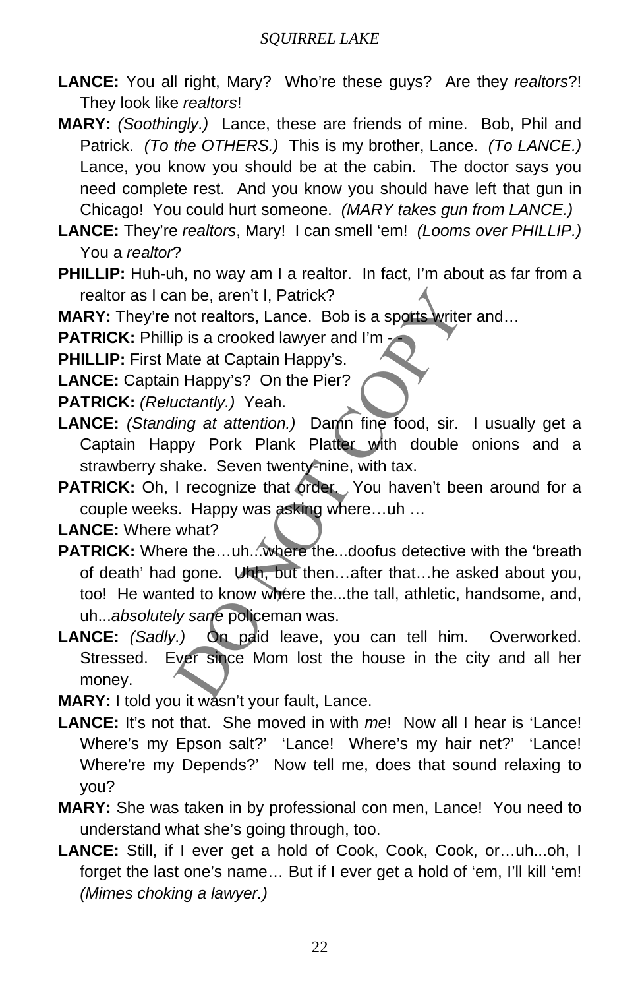- **LANCE:** You all right, Mary? Who're these guys? Are they *realtors*?! They look like *realtors*!
- **MARY:** *(Soothingly.)* Lance, these are friends of mine. Bob, Phil and Patrick. *(To the OTHERS.)* This is my brother, Lance. *(To LANCE.)*  Lance, you know you should be at the cabin. The doctor says you need complete rest. And you know you should have left that gun in Chicago! You could hurt someone. *(MARY takes gun from LANCE.)*
- **LANCE:** They're *realtors*, Mary! I can smell 'em! *(Looms over PHILLIP.)*  You a *realtor*?
- **PHILLIP:** Huh-uh, no way am I a realtor. In fact, I'm about as far from a realtor as I can be, aren't I, Patrick?

**MARY:** They're not realtors, Lance. Bob is a sports writer and...

**PATRICK:** Phillip is a crooked lawyer and I'm -

**PHILLIP:** First Mate at Captain Happy's.

**LANCE:** Captain Happy's? On the Pier?

**PATRICK:** *(Reluctantly.)* Yeah.

- **LANCE:** *(Standing at attention.)* Damn fine food, sir. I usually get a Captain Happy Pork Plank Platter with double onions and a strawberry shake. Seven twenty-nine, with tax.
- **PATRICK:** Oh, I recognize that order. You haven't been around for a couple weeks. Happy was asking where…uh …

**LANCE:** Where what?

- an be, aren't I, Patrick?<br>
not realtors, Lance. Bob is a spotts writer and...<br>
p is a crooked lawyer and I'm<br>
Mate at Captain Happy's.<br>
1 Happy's? On the Pier?<br>
uctantly.) Yeah.<br>
ling at attention.) Damn fine food, sir. I **PATRICK:** Where the…uh...where the...doofus detective with the 'breath of death' had gone. Uhh, but then…after that…he asked about you, too! He wanted to know where the...the tall, athletic, handsome, and, uh...*absolutely sane* policeman was.
- **LANCE:** *(Sadly.)* On paid leave, you can tell him. Overworked. Stressed. Ever since Mom lost the house in the city and all her money.
- **MARY:** I told you it wasn't your fault, Lance.
- **LANCE:** It's not that. She moved in with *me*! Now all I hear is 'Lance! Where's my Epson salt?' 'Lance! Where's my hair net?' 'Lance! Where're my Depends?' Now tell me, does that sound relaxing to you?
- **MARY:** She was taken in by professional con men, Lance! You need to understand what she's going through, too.
- **LANCE:** Still, if I ever get a hold of Cook, Cook, Cook, or…uh...oh, I forget the last one's name… But if I ever get a hold of 'em, I'll kill 'em! *(Mimes choking a lawyer.)*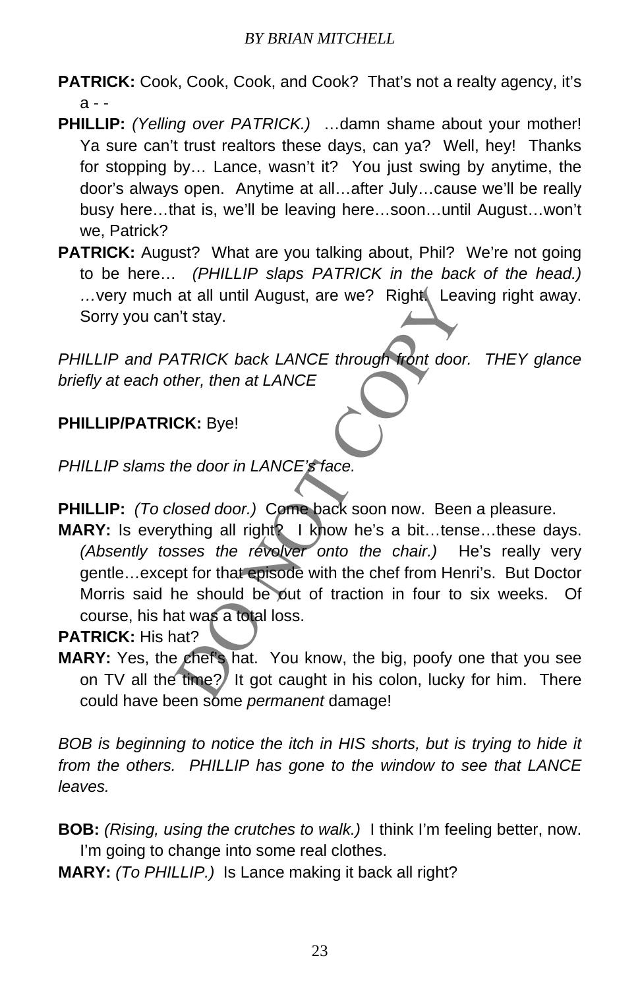- PATRICK: Cook, Cook, Cook, and Cook? That's not a realty agency, it's a - -
- **PHILLIP:** *(Yelling over PATRICK.)* …damn shame about your mother! Ya sure can't trust realtors these days, can ya? Well, hey! Thanks for stopping by… Lance, wasn't it? You just swing by anytime, the door's always open. Anytime at all…after July…cause we'll be really busy here…that is, we'll be leaving here…soon…until August…won't we, Patrick?
- **PATRICK:** August? What are you talking about, Phil? We're not going to be here… *(PHILLIP slaps PATRICK in the back of the head.)*  ... very much at all until August, are we? Right. Leaving right away. Sorry you can't stay.

*PHILLIP and PATRICK back LANCE through front door. THEY glance briefly at each other, then at LANCE* 

# **PHILLIP/PATRICK:** Bye!

*PHILLIP slams the door in LANCE's face.*

- **PHILLIP:** *(To closed door.)* Come back soon now. Been a pleasure.
- at all until August, are we? Right Leaving right<br>
N't stay.<br>
ATRICK back LANCE through front door. THE<br>
ther, then at LANCE<br>
CK: Bye!<br>
the door in LANCE's face.<br>
Nosed door.) Come back soon now. Been a plea:<br>
thing all rig **MARY:** Is everything all right<sup>2</sup> I know he's a bit...tense...these days. *(Absently tosses the revolver onto the chair.)* He's really very gentle…except for that episode with the chef from Henri's. But Doctor Morris said he should be out of traction in four to six weeks. Of course, his hat was a total loss.

**PATRICK:** His hat?

MARY: Yes, the chef's hat. You know, the big, poofy one that you see on TV all the time?<sup>*I*</sup> It got caught in his colon, lucky for him. There could have been some *permanent* damage!

*BOB is beginning to notice the itch in HIS shorts, but is trying to hide it from the others. PHILLIP has gone to the window to see that LANCE leaves.* 

**BOB:** *(Rising, using the crutches to walk.)* I think I'm feeling better, now. I'm going to change into some real clothes.

**MARY:** *(To PHILLIP.)* Is Lance making it back all right?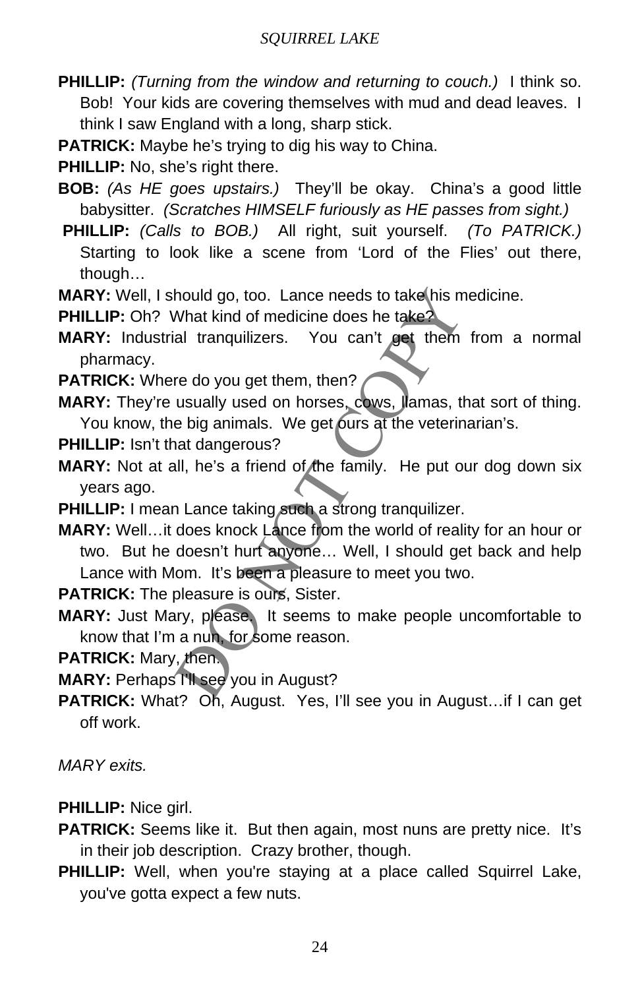**PHILLIP:** *(Turning from the window and returning to couch.)* I think so. Bob! Your kids are covering themselves with mud and dead leaves. I think I saw England with a long, sharp stick.

**PATRICK:** Maybe he's trying to dig his way to China.

**PHILLIP:** No, she's right there.

- **BOB:** *(As HE goes upstairs.)* They'll be okay. China's a good little babysitter. *(Scratches HIMSELF furiously as HE passes from sight.)*
- **PHILLIP:** *(Calls to BOB.)* All right, suit yourself. *(To PATRICK.)*  Starting to look like a scene from 'Lord of the Flies' out there, though…

**MARY:** Well, I should go, too. Lance needs to take his medicine.

**PHILLIP:** Oh? What kind of medicine does he take?

**MARY:** Industrial tranquilizers. You can't get them from a normal pharmacy.

**PATRICK:** Where do you get them, then?

**MARY:** They're usually used on horses, cows, llamas, that sort of thing. You know, the big animals. We get ours at the veterinarian's.

**PHILLIP:** Isn't that dangerous?

**MARY:** Not at all, he's a friend of the family. He put our dog down six years ago.

**PHILLIP:** I mean Lance taking such a strong tranquilizer.

hould go, too. Lance needs to take his medicine.<br>
What kind of medicine does he take?<br>
al tranquilizers. You can't get them from a<br>
re do you get them, then?<br>
usually used on horses, cows, Jamas, that sort<br>
e big animals. **MARY:** Well...it does knock Lance from the world of reality for an hour or two. But he doesn't hurt anyone… Well, I should get back and help Lance with Mom. It's been a pleasure to meet you two.

**PATRICK:** The pleasure is ours, Sister.

**MARY:** Just Mary, please. It seems to make people uncomfortable to know that I'm a nun, for some reason.

**PATRICK:** Mary, then.

**MARY:** Perhaps I'll see you in August?

PATRICK: What? Oh, August. Yes, I'll see you in August...if I can get off work.

*MARY exits.*

**PHILLIP:** Nice girl.

- **PATRICK:** Seems like it. But then again, most nuns are pretty nice. It's in their job description. Crazy brother, though.
- **PHILLIP:** Well, when you're staying at a place called Squirrel Lake, you've gotta expect a few nuts.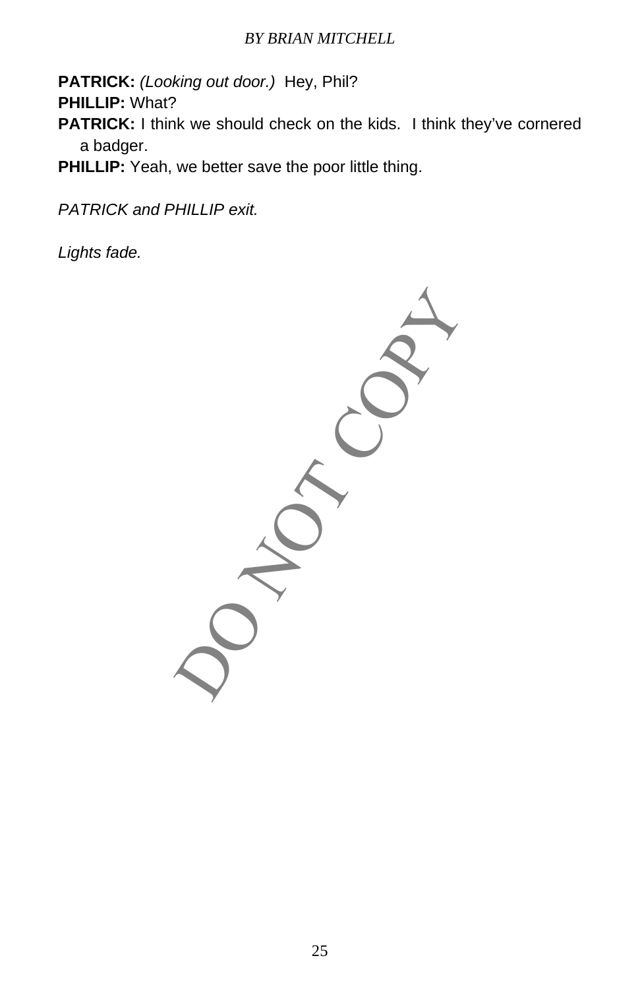**PATRICK:** *(Looking out door.)* Hey, Phil?

**PHILLIP:** What?

- **PATRICK:** I think we should check on the kids. I think they've cornered a badger.
- **PHILLIP:** Yeah, we better save the poor little thing.

*PATRICK and PHILLIP exit.*

*Lights fade.*

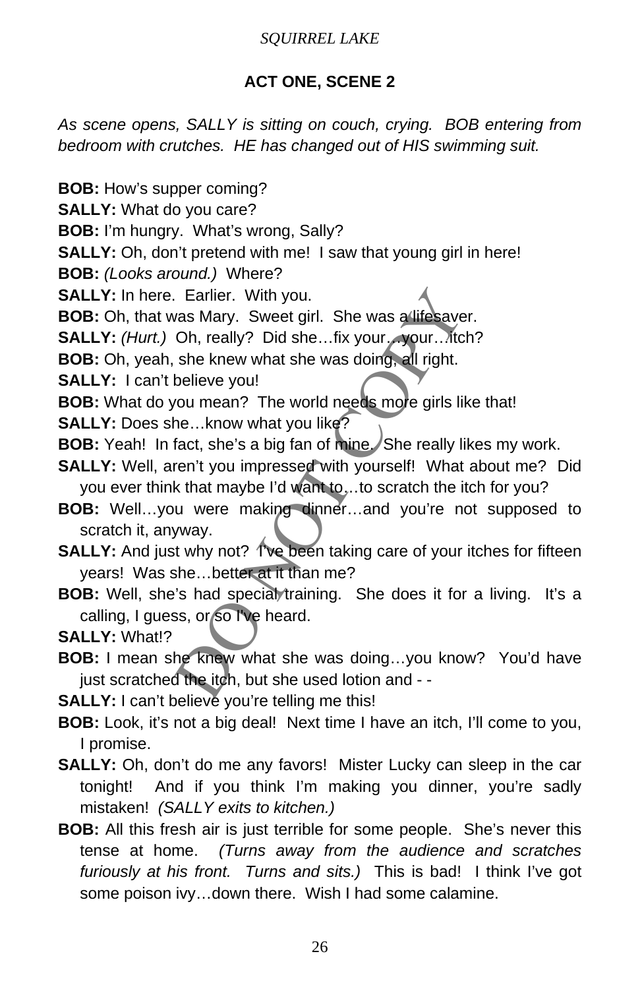# **ACT ONE, SCENE 2**

*As scene opens, SALLY is sitting on couch, crying. BOB entering from bedroom with crutches. HE has changed out of HIS swimming suit.* 

**BOB:** How's supper coming?

**SALLY:** What do you care?

**BOB:** I'm hungry. What's wrong, Sally?

**SALLY:** Oh, don't pretend with me! I saw that young girl in here!

**BOB:** *(Looks around.)* Where?

**SALLY:** In here. Earlier. With you.

**BOB:** Oh, that was Mary. Sweet girl. She was a lifesaver.

**SALLY:** *(Hurt.)* Oh, really? Did she...fix your... your... Mtch?

**BOB:** Oh, yeah, she knew what she was doing, all right.

**SALLY:** I can't believe you!

**BOB:** What do you mean? The world needs more girls like that!

**SALLY:** Does she…know what you like?

- **BOB:** Yeah! In fact, she's a big fan of mine. She really likes my work.
- Earlier. With you.<br>
vas Mary. Sweet girl. She was a lifesaver.<br>
Oh, really? Did she...fix your..your...tich?<br>
she knew what she was doing, all right.<br>
believe you!<br>
vou mean? The world needs more girls like that!<br>
he...kno **SALLY:** Well, aren't you impressed with yourself! What about me? Did you ever think that maybe I'd want to ... to scratch the itch for you?
- **BOB:** Well…you were making dinner…and you're not supposed to scratch it, anyway.
- **SALLY:** And just why not? Tve been taking care of your itches for fifteen years! Was she…better at it than me?
- **BOB:** Well, she's had special training. She does it for a living. It's a calling, I guess, or so I've heard.

**SALLY:** What!?

**BOB:** I mean she knew what she was doing…you know? You'd have just scratched the itch, but she used lotion and - -

**SALLY:** I can't believe you're telling me this!

**BOB:** Look, it's not a big deal! Next time I have an itch, I'll come to you, I promise.

**SALLY:** Oh, don't do me any favors! Mister Lucky can sleep in the car tonight! And if you think I'm making you dinner, you're sadly mistaken! *(SALLY exits to kitchen.)*

**BOB:** All this fresh air is just terrible for some people. She's never this tense at home. *(Turns away from the audience and scratches furiously at his front. Turns and sits.)* This is bad! I think I've got some poison ivy…down there. Wish I had some calamine.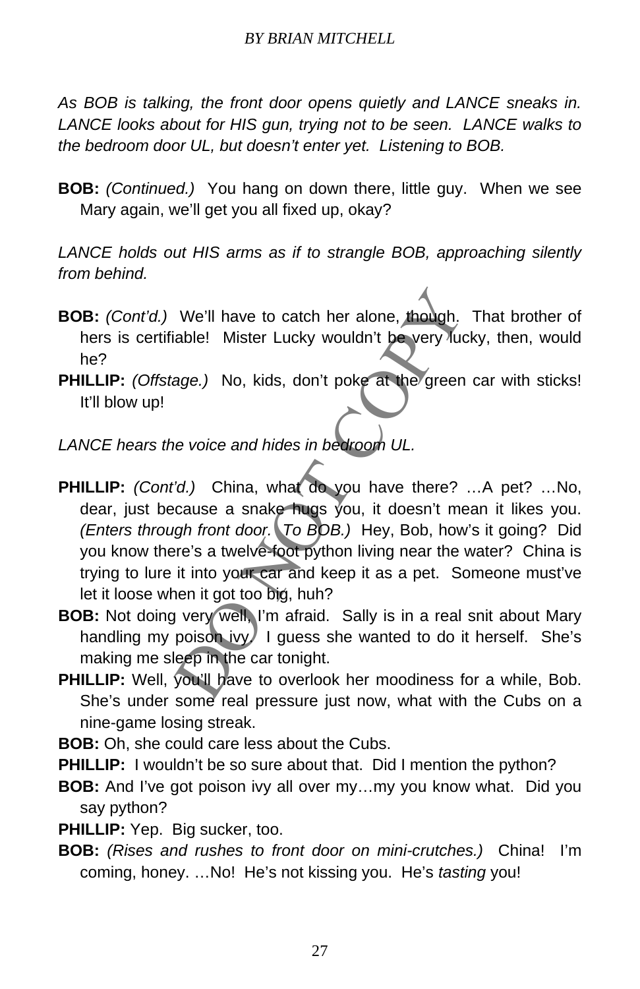*As BOB is talking, the front door opens quietly and LANCE sneaks in. LANCE looks about for HIS gun, trying not to be seen. LANCE walks to the bedroom door UL, but doesn't enter yet. Listening to BOB.* 

**BOB:** *(Continued.)* You hang on down there, little guy. When we see Mary again, we'll get you all fixed up, okay?

*LANCE holds out HIS arms as if to strangle BOB, approaching silently from behind.* 

- **BOB:** *(Cont'd.)* We'll have to catch her alone, though. That brother of hers is certifiable! Mister Lucky wouldn't be very lucky, then, would he?
- **PHILLIP:** *(Offstage.)* No, kids, don't poke at the green car with sticks! It'll blow up!

*LANCE hears the voice and hides in bedroom UL.*

- We'll have to catch her alone, though. That bi<br>able! Mister Lucky wouldn't be very lucky, then<br>age.) No, kids, don't poke at the green car with<br>the green car with<br>the voice and hides in bedroom UL.<br>"<br>('d.) China, what do y **PHILLIP:** *(Cont'd.)* China, what do you have there? …A pet? …No, dear, just because a snake hugs you, it doesn't mean it likes you. *(Enters through front door. To BOB.)* Hey, Bob, how's it going? Did you know there's a twelve-foot python living near the water? China is trying to lure it into your car and keep it as a pet. Someone must've let it loose when it got too big, huh?
- **BOB:** Not doing very well, I'm afraid. Sally is in a real snit about Mary handling my poison ivy. I guess she wanted to do it herself. She's making me sleep in the car tonight.
- **PHILLIP:** Well, you'll have to overlook her moodiness for a while, Bob. She's under some real pressure just now, what with the Cubs on a nine-game losing streak.
- **BOB:** Oh, she could care less about the Cubs.
- **PHILLIP:** I wouldn't be so sure about that. Did I mention the python?
- **BOB:** And I've got poison ivy all over my…my you know what. Did you say python?
- **PHILLIP:** Yep. Big sucker, too.
- **BOB:** *(Rises and rushes to front door on mini-crutches.)* China! I'm coming, honey. …No! He's not kissing you. He's *tasting* you!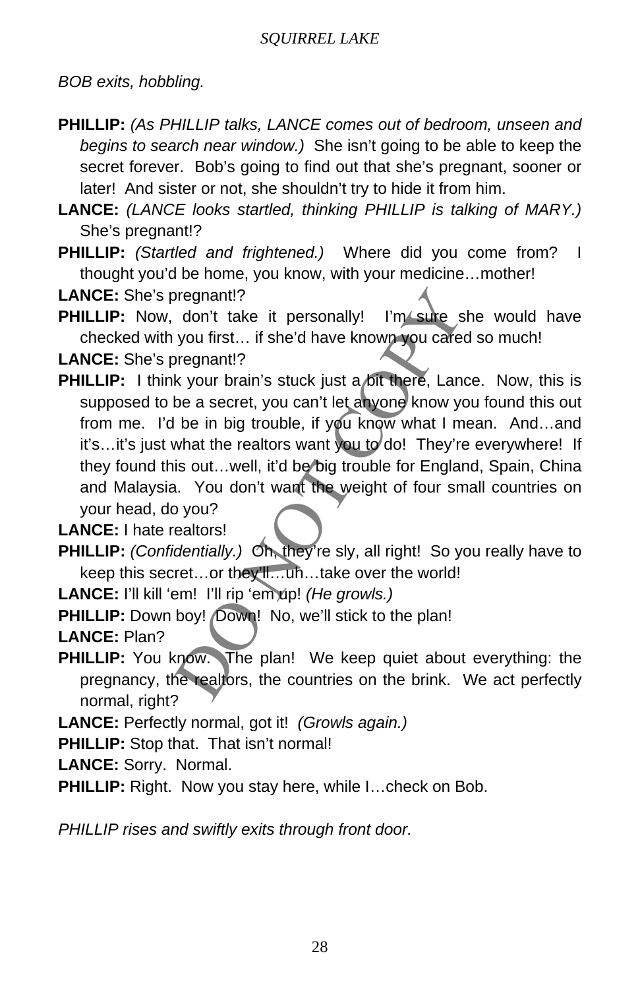*BOB exits, hobbling.*

- **PHILLIP:** *(As PHILLIP talks, LANCE comes out of bedroom, unseen and begins to search near window.)* She isn't going to be able to keep the secret forever. Bob's going to find out that she's pregnant, sooner or later! And sister or not, she shouldn't try to hide it from him.
- **LANCE:** *(LANCE looks startled, thinking PHILLIP is talking of MARY.)*  She's pregnant!?
- **PHILLIP:** *(Startled and frightened.)* Where did you come from? I thought you'd be home, you know, with your medicine…mother!

**LANCE:** She's pregnant!?

**PHILLIP:** Now, don't take it personally! I'm sure she would have checked with you first… if she'd have known you cared so much!

**LANCE:** She's pregnant!?

or the word work of the product of the product of the product the product the product the product of the product of the product of the product of the product of the product of the product of the product of the product of t **PHILLIP:** I think your brain's stuck just a bit there, Lance. Now, this is supposed to be a secret, you can't let anyone know you found this out from me. I'd be in big trouble, if you know what I mean. And...and it's...it's just what the realtors want you to do! They're everywhere! If they found this out...well, it'd be big trouble for England, Spain, China and Malaysia. You don't want the weight of four small countries on your head, do you?

**LANCE:** I hate realtors!

**PHILLIP:** *(Confidentially.)* Oh, they're sly, all right! So you really have to keep this secret…or they'll…uh…take over the world!

**LANCE:** I'll kill 'em! I'll rip 'em up! *(He growls.)*

PHILLIP: Down boy! *Down!* No, we'll stick to the plan!

**LANCE:** Plan?

**PHILLIP:** You know. The plan! We keep quiet about everything: the pregnancy, the realtors, the countries on the brink. We act perfectly normal, right?

**LANCE:** Perfectly normal, got it! *(Growls again.)*

**PHILLIP:** Stop that. That isn't normal!

**LANCE:** Sorry. Normal.

**PHILLIP:** Right. Now you stay here, while I…check on Bob.

*PHILLIP rises and swiftly exits through front door.*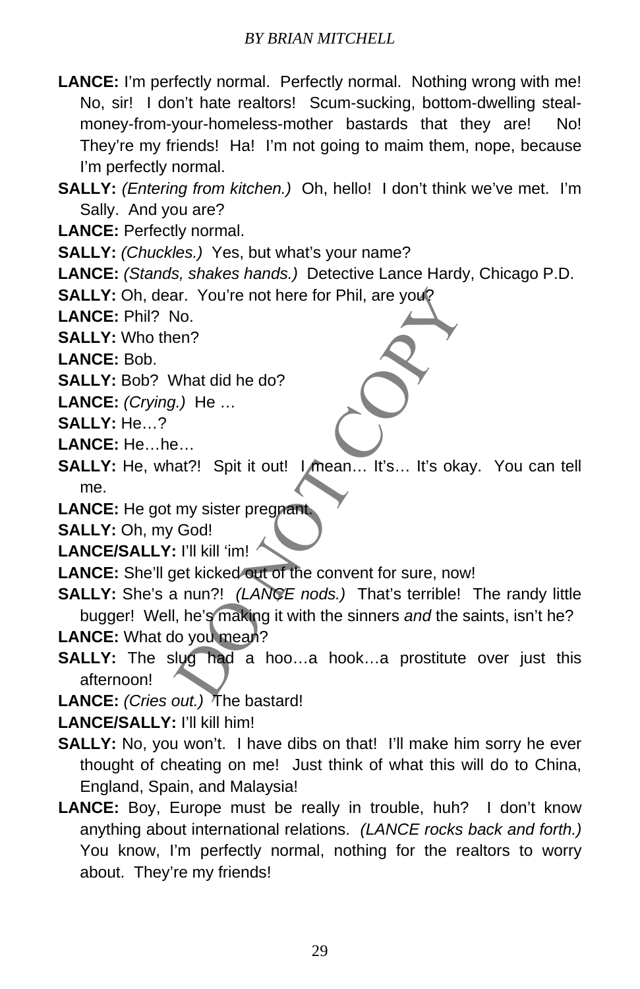- **LANCE:** I'm perfectly normal. Perfectly normal. Nothing wrong with me! No, sir! I don't hate realtors! Scum-sucking, bottom-dwelling stealmoney-from-your-homeless-mother bastards that they are! No! They're my friends! Ha! I'm not going to maim them, nope, because I'm perfectly normal.
- **SALLY:** *(Entering from kitchen.)* Oh, hello! I don't think we've met. I'm Sally. And you are?
- **LANCE:** Perfectly normal.

**SALLY:** *(Chuckles.)* Yes, but what's your name?

**LANCE:** *(Stands, shakes hands.)* Detective Lance Hardy, Chicago P.D.

**SALLY:** Oh, dear. You're not here for Phil, are you?

**LANCE:** Phil? No.

**SALLY:** Who then?

**LANCE:** Bob.

**SALLY:** Bob? What did he do?

**LANCE:** *(Crying.)* He …

**SALLY:** He…?

- **LANCE:** He…he…
- **SALLY:** He, what?! Spit it out! I mean... It's... It's okay. You can tell me.
- **LANCE:** He got my sister pregnant.

**SALLY:** Oh, my God!

**LANCE/SALLY:** I'll kill 'im!

**LANCE:** She'll get kicked out of the convent for sure, now!

- ar. You're not here for Phil, are you?<br>
No.<br>
en?<br>
What did he do?<br>
(1). He ...<br>
...<br>
...<br>
at?! Spit it out! I mean... It's... It's okay. You<br>
my sister pregnant<br>
God!<br>
: I'll kill 'im!<br>
let kicked out of the convent for su **SALLY:** She's a nun?! *(LANCE nods.)* That's terrible! The randy little bugger! Well, he's making it with the sinners *and* the saints, isn't he? **LANCE:** What do you mean?
- **SALLY:** The slug had a hoo...a hook...a prostitute over just this afternoon!

**LANCE:** *(Cries out.)* The bastard!

**LANCE/SALLY:** I'll kill him!

- **SALLY:** No, you won't. I have dibs on that! I'll make him sorry he ever thought of cheating on me! Just think of what this will do to China, England, Spain, and Malaysia!
- **LANCE:** Boy, Europe must be really in trouble, huh? I don't know anything about international relations. *(LANCE rocks back and forth.)*  You know, I'm perfectly normal, nothing for the realtors to worry about. They're my friends!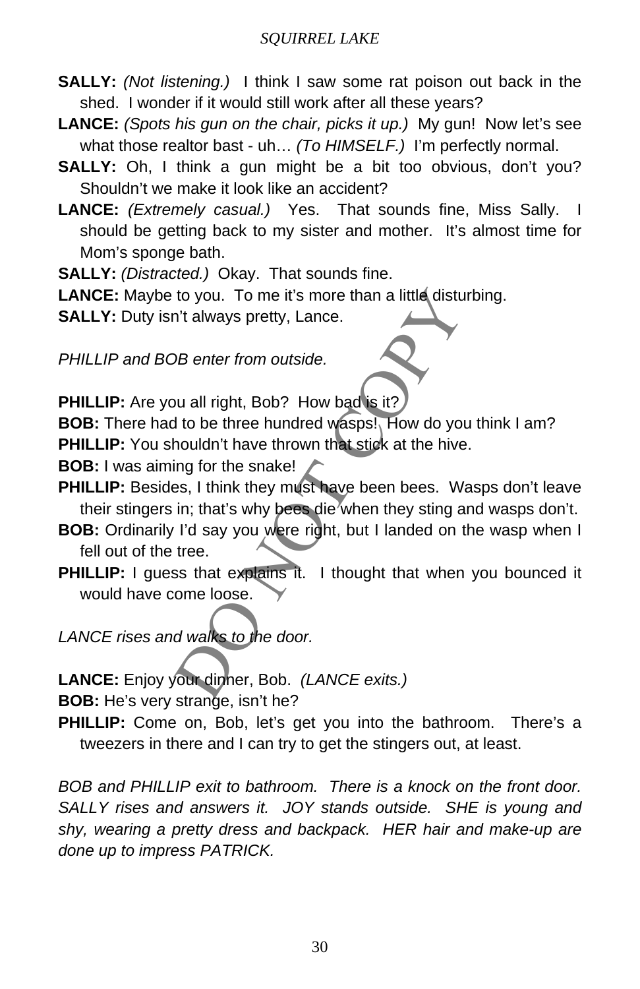- **SALLY:** *(Not listening.)* I think I saw some rat poison out back in the shed. I wonder if it would still work after all these years?
- **LANCE:** *(Spots his gun on the chair, picks it up.)* My gun! Now let's see what those realtor bast - uh… *(To HIMSELF.)* I'm perfectly normal.
- **SALLY:** Oh, I think a gun might be a bit too obvious, don't you? Shouldn't we make it look like an accident?
- LANCE: *(Extremely casual.)* Yes. That sounds fine, Miss Sally. should be getting back to my sister and mother. It's almost time for Mom's sponge bath.
- **SALLY:** *(Distracted.)* Okay. That sounds fine.
- LANCE: Maybe to you. To me it's more than a little disturbing.
- **SALLY:** Duty isn't always pretty, Lance.

*PHILLIP and BOB enter from outside.*

**PHILLIP:** Are you all right, Bob? How bad is it?

**BOB:** There had to be three hundred wasps!, How do you think I am? **PHILLIP:** You shouldn't have thrown that stick at the hive.

- **BOB:** I was aiming for the snake!
- PHILLIP: Besides, I think they must have been bees. Wasps don't leave their stingers in; that's why bees die when they sting and wasps don't.
- to you. To me it's more than a little disturbing.<br>
The always pretty, Lance.<br>
DB enter from outside.<br>
DB enter from outside.<br>
U. all right, Bob? How bad is it?<br>
It to be three hundred wasps! How do you think I<br>
houldn't ha **BOB:** Ordinarily I'd say you were right, but I landed on the wasp when I fell out of the tree.
- **PHILLIP:** I guess that explains it. I thought that when you bounced it would have come loose.
- *LANCE rises and walks to the door.*

**LANCE:** Enjoy your dinner, Bob. *(LANCE exits.)*

**BOB:** He's very strange, isn't he?

**PHILLIP:** Come on, Bob, let's get you into the bathroom. There's a tweezers in there and I can try to get the stingers out, at least.

*BOB and PHILLIP exit to bathroom. There is a knock on the front door. SALLY rises and answers it. JOY stands outside. SHE is young and shy, wearing a pretty dress and backpack. HER hair and make-up are done up to impress PATRICK.*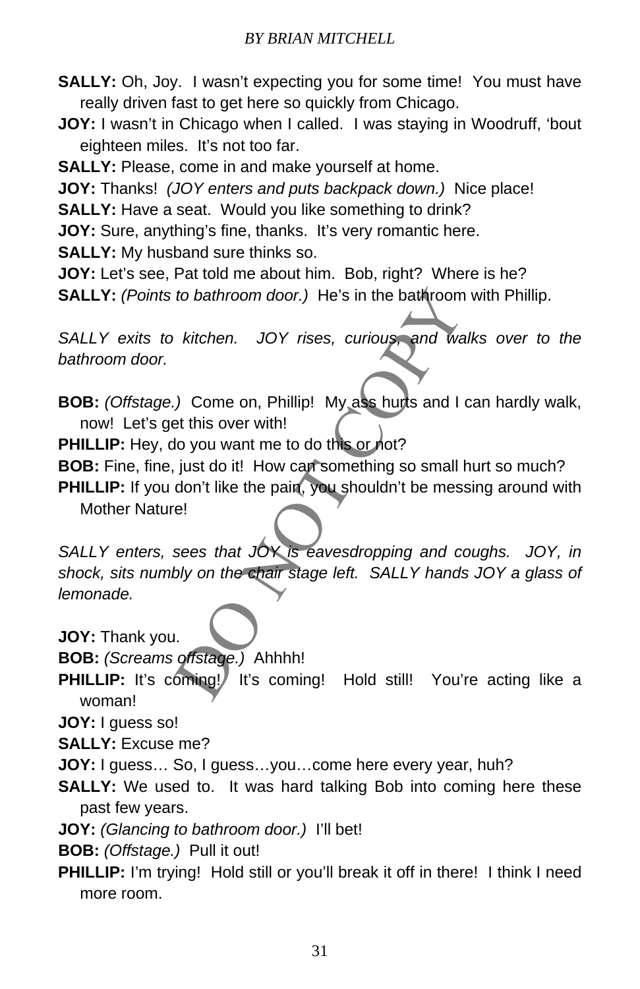**SALLY:** Oh, Joy. I wasn't expecting you for some time! You must have really driven fast to get here so quickly from Chicago.

**JOY:** I wasn't in Chicago when I called. I was staying in Woodruff, 'bout eighteen miles. It's not too far.

**SALLY:** Please, come in and make yourself at home.

**JOY:** Thanks! *(JOY enters and puts backpack down.)* Nice place!

**SALLY:** Have a seat. Would you like something to drink?

**JOY:** Sure, anything's fine, thanks. It's very romantic here.

**SALLY:** My husband sure thinks so.

**JOY:** Let's see, Pat told me about him. Bob, right? Where is he? **SALLY:** *(Points to bathroom door.)* He's in the bathroom with Phillip.

*SALLY exits to kitchen. JOY rises, curious, and walks over to the bathroom door.* 

**BOB:** *(Offstage.)* Come on, Phillip! My ass hurts and I can hardly walk, now! Let's get this over with!

**PHILLIP:** Hey, do you want me to do this or not?

**BOB:** Fine, fine, just do it! How can something so small hurt so much?

**PHILLIP:** If you don't like the pain, you shouldn't be messing around with Mother Nature!

to bathroom door.) He's in the bathroom with Ph<br>
kitchen. JOY rises, curious, and walks ove<br>
.) Come on, Phillip! My ass hurts and I can hard<br>
at this over with!<br>
do you want me to do this or not?<br>
just do it! How can some *SALLY enters, sees that JOY is eavesdropping and coughs. JOY, in shock, sits numbly on the chair stage left. SALLY hands JOY a glass of lemonade.* 

**JOY:** Thank you.

**BOB:** *(Screams offstage.)* Ahhhh!

**PHILLIP:** It's coming!/ It's coming! Hold still! You're acting like a woman!

**JOY:** I guess so!

**SALLY:** Excuse me?

**JOY:** I guess… So, I guess…you…come here every year, huh?

**SALLY:** We used to. It was hard talking Bob into coming here these past few years.

**JOY:** *(Glancing to bathroom door.)* I'll bet!

**BOB:** *(Offstage.)* Pull it out!

**PHILLIP:** I'm trying! Hold still or you'll break it off in there! I think I need more room.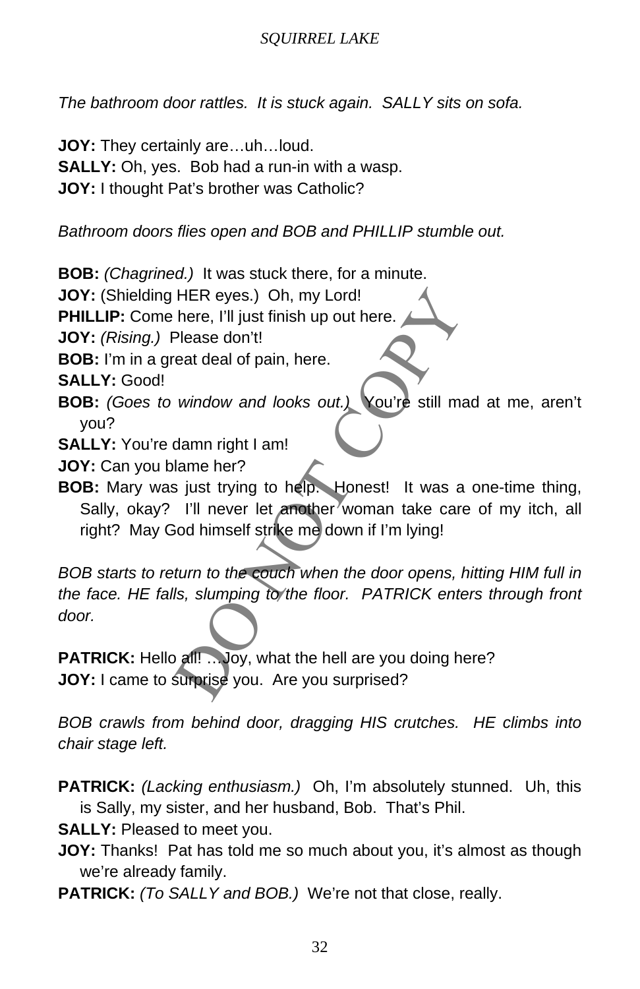*The bathroom door rattles. It is stuck again. SALLY sits on sofa.*

**JOY:** They certainly are…uh…loud. **SALLY:** Oh, yes. Bob had a run-in with a wasp. **JOY:** I thought Pat's brother was Catholic?

*Bathroom doors flies open and BOB and PHILLIP stumble out.*

**BOB:** *(Chagrined.)* It was stuck there, for a minute.

**JOY:** (Shielding HER eyes.) Oh, my Lord!

**PHILLIP:** Come here, I'll just finish up out here.

**JOY:** *(Rising.)* Please don't!

**BOB:** I'm in a great deal of pain, here.

**SALLY:** Good!

- **BOB:** *(Goes to window and looks out.)* You're still mad at me, aren't you?
- **SALLY:** You're damn right I am!

**JOY:** Can you blame her?

**BOB:** Mary was just trying to help. Honest! It was a one-time thing, Sally, okay? I'll never let another woman take care of my itch, all right? May God himself strike me down if I'm lying!

HER eyes.) Oh, my Lord!<br>
Please don't!<br>
Please don't!<br>
eat deal of pain, here.<br>
window and looks out.) <br>
You're still mad at me<br>
damn right I am!<br>
lame her?<br>
si just trying to help. Honest! It was a one-tim<br>
I'll never let *BOB starts to return to the couch when the door opens, hitting HIM full in the face. HE falls, slumping to the floor. PATRICK enters through front door.*

PATRICK: Hello all! ... Joy, what the hell are you doing here? **JOY:** I came to surprise you. Are you surprised?

*BOB crawls from behind door, dragging HIS crutches. HE climbs into chair stage left.* 

**PATRICK:** *(Lacking enthusiasm.)* Oh, I'm absolutely stunned. Uh, this is Sally, my sister, and her husband, Bob. That's Phil.

**SALLY:** Pleased to meet you.

**JOY:** Thanks! Pat has told me so much about you, it's almost as though we're already family.

**PATRICK:** *(To SALLY and BOB.)* We're not that close, really.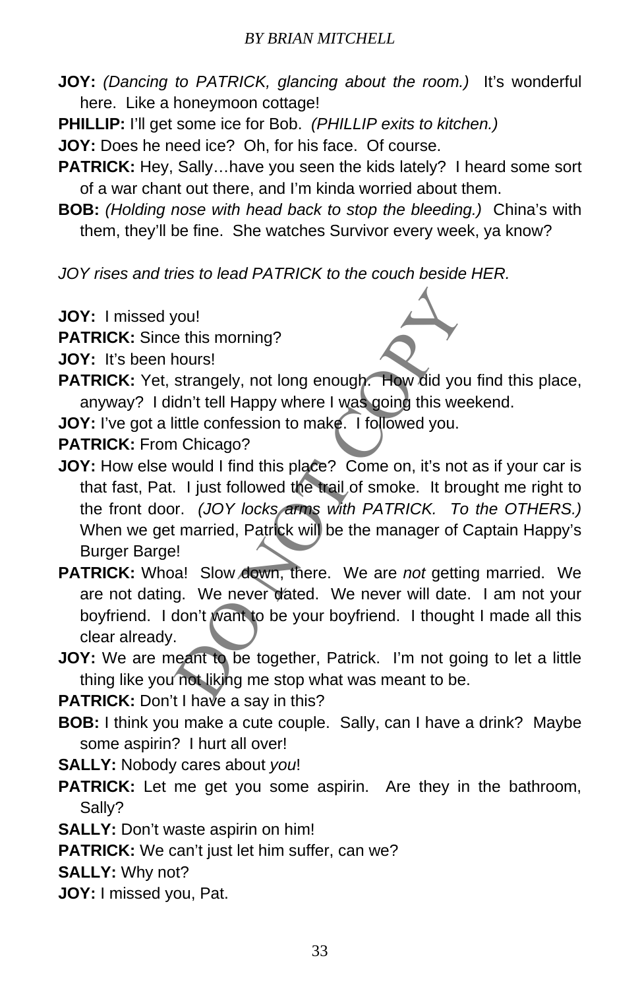- **JOY:** *(Dancing to PATRICK, glancing about the room.)* It's wonderful here. Like a honeymoon cottage!
- **PHILLIP:** I'll get some ice for Bob. *(PHILLIP exits to kitchen.)*
- **JOY:** Does he need ice? Oh, for his face. Of course.
- **PATRICK:** Hey, Sally...have you seen the kids lately? I heard some sort of a war chant out there, and I'm kinda worried about them.
- **BOB:** *(Holding nose with head back to stop the bleeding.)* China's with them, they'll be fine. She watches Survivor every week, ya know?

*JOY rises and tries to lead PATRICK to the couch beside HER.*

- **JOY:** I missed you!
- **PATRICK:** Since this morning?
- **JOY:** It's been hours!
- **PATRICK:** Yet, strangely, not long enough. How did you find this place, anyway? I didn't tell Happy where I was going this weekend.
- **JOY:** I've got a little confession to make. I followed you.
- **PATRICK:** From Chicago?
- Nou!<br>
The this morning?<br>
Strangely, not long enough. How did you find the dn't tell Happy where I was going this weekend.<br>
It it confession to make. I followed you.<br>
It confession to make. I followed you.<br>
It confession to **JOY:** How else would I find this place? Come on, it's not as if your car is that fast, Pat. I just followed the trail of smoke. It brought me right to the front door. *(JOY locks arms with PATRICK. To the OTHERS.)*  When we get married, Patrick will be the manager of Captain Happy's Burger Barge!
- **PATRICK:** Whoa! Slow down, there. We are *not* getting married. We are not dating. We never dated. We never will date. I am not your boyfriend. I don't want to be your boyfriend. I thought I made all this clear already.
- **JOY:** We are meant to be together, Patrick. I'm not going to let a little thing like you not liking me stop what was meant to be.

**PATRICK:** Don't I have a say in this?

- **BOB:** I think you make a cute couple. Sally, can I have a drink? Maybe some aspirin? I hurt all over!
- **SALLY:** Nobody cares about *you*!
- **PATRICK:** Let me get you some aspirin. Are they in the bathroom, Sally?
- **SALLY:** Don't waste aspirin on him!
- **PATRICK:** We can't just let him suffer, can we?
- **SALLY:** Why not?
- **JOY:** I missed you, Pat.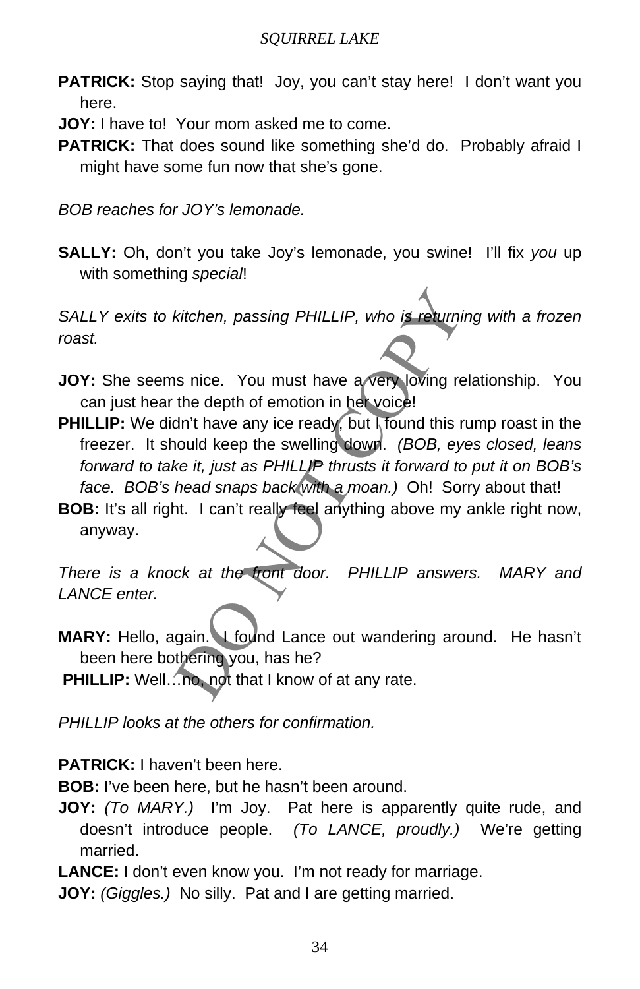- **PATRICK:** Stop saying that! Joy, you can't stay here! I don't want you here.
- **JOY:** I have to! Your mom asked me to come.
- PATRICK: That does sound like something she'd do. Probably afraid I might have some fun now that she's gone.

*BOB reaches for JOY's lemonade.*

**SALLY:** Oh, don't you take Joy's lemonade, you swine! I'll fix *you* up with something *special*!

*SALLY exits to kitchen, passing PHILLIP, who is returning with a frozen roast.* 

- **JOY:** She seems nice. You must have a very loving relationship. You can just hear the depth of emotion in her voice!
- kitchen, passing PHILLIP, who is returning with<br>is nice. You must have a very loving relationsh<br>the depth of emotion in het voice!<br>dn't have any ice ready, but I found this rump roa<br>ould keep the swelling down. (BOB, eyes **PHILLIP:** We didn't have any ice ready, but I found this rump roast in the freezer. It should keep the swelling down. *(BOB, eyes closed, leans forward to take it, just as PHILLIP thrusts it forward to put it on BOB's face. BOB's head snaps back with a moan.)* Oh! Sorry about that!
- **BOB:** It's all right. I can't really feel anything above my ankle right now, anyway.

*There is a knock at the front door. PHILLIP answers. MARY and LANCE enter.* 

**MARY:** Hello, again. I found Lance out wandering around. He hasn't been here bothering you, has he?

**PHILLIP:** Well…no, not that I know of at any rate.

*PHILLIP looks at the others for confirmation.*

**PATRICK:** I haven't been here.

**BOB:** I've been here, but he hasn't been around.

**JOY:** *(To MARY.)* I'm Joy. Pat here is apparently quite rude, and doesn't introduce people. *(To LANCE, proudly.)* We're getting married.

**LANCE:** I don't even know you. I'm not ready for marriage.

**JOY:** *(Giggles.)* No silly. Pat and I are getting married.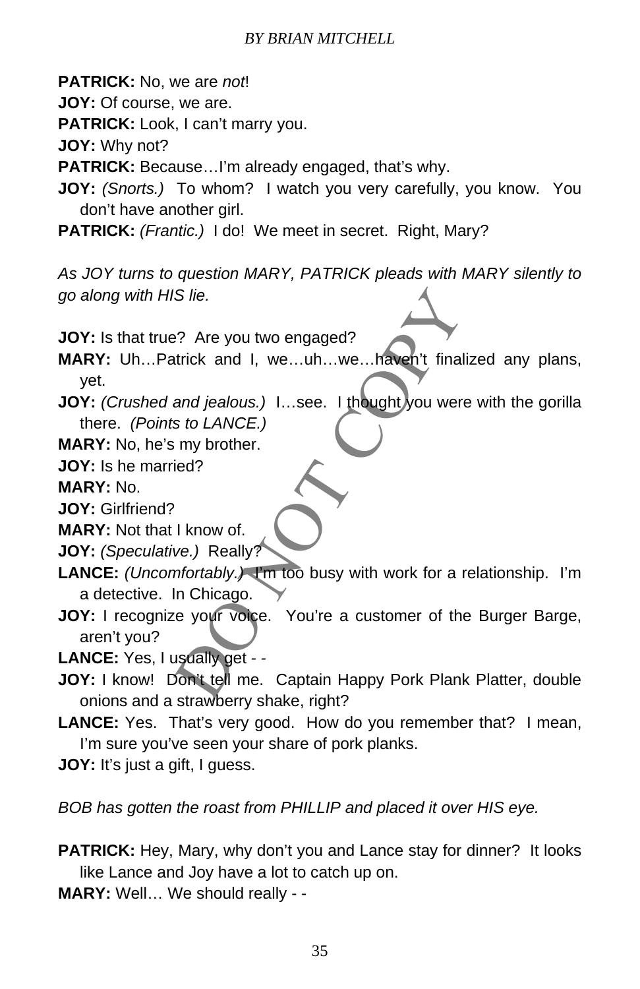**PATRICK:** No, we are *not*!

**JOY:** Of course, we are.

**PATRICK:** Look, I can't marry you.

**JOY:** Why not?

**PATRICK:** Because…I'm already engaged, that's why.

- **JOY:** *(Snorts.)* To whom? I watch you very carefully, you know. You don't have another girl.
- **PATRICK:** *(Frantic.)* I do! We meet in secret. Right, Mary?

*As JOY turns to question MARY, PATRICK pleads with MARY silently to go along with HIS lie.* 

**JOY:** Is that true? Are you two engaged?

**MARY:** Uh…Patrick and I, we…uh…we…haven't finalized any plans, yet.

- **JOY:** *(Crushed and jealous.)* **I...see.** I thought you were with the gorilla there. *(Points to LANCE.)*
- **MARY:** No, he's my brother.
- **JOY:** Is he married?

**MARY:** No.

**JOY:** Girlfriend?

**MARY:** Not that I know of.

**JOY:** *(Speculative.)* Really?

- **LANCE:** *(Uncomfortably.)* I'm too busy with work for a relationship. I'm a detective. In Chicago.
- S lie.<br>
18 lie.<br>
18 lie.<br>
18 lie.<br>
18 lie.<br>
18 lie.<br>
18 lie.<br>
18 lie.<br>
18 lie.<br>
18 lie.<br>
18 lie.<br>
18 lie.<br>
18 lie.<br>
18 lie.<br>
18 lie.<br>
18 lie.<br>
18 lie.<br>
18 lie.<br>
18 lie.<br>
18 lie.<br>
18 lie.<br>
18 lie.<br>
18 lie.<br>
18 lie.<br>
18 lie. **JOY:** I recognize your voice. You're a customer of the Burger Barge, aren't you?

**LANCE:** Yes, I usually get - -

- **JOY:** I know! Don't tell me. Captain Happy Pork Plank Platter, double onions and a strawberry shake, right?
- **LANCE:** Yes. That's very good. How do you remember that? I mean, I'm sure you've seen your share of pork planks.
- **JOY:** It's just a gift, I guess.

*BOB has gotten the roast from PHILLIP and placed it over HIS eye.*

- **PATRICK:** Hey, Mary, why don't you and Lance stay for dinner? It looks like Lance and Joy have a lot to catch up on.
- **MARY:** Well… We should really -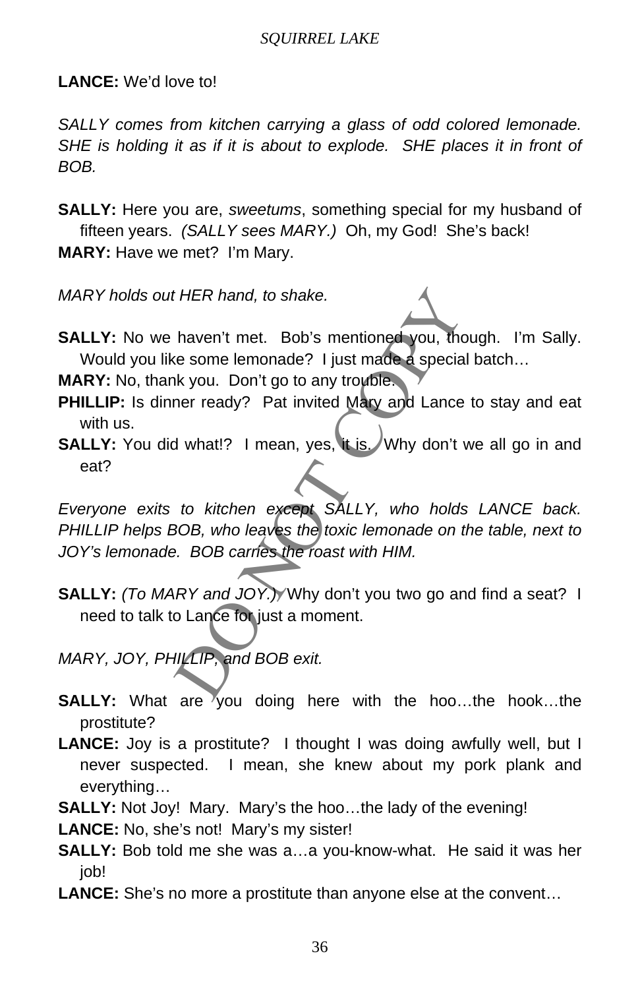**LANCE:** We'd love to!

*SALLY comes from kitchen carrying a glass of odd colored lemonade. SHE is holding it as if it is about to explode. SHE places it in front of BOB.* 

**SALLY:** Here you are, *sweetums*, something special for my husband of fifteen years. *(SALLY sees MARY.)* Oh, my God! She's back! **MARY:** Have we met? I'm Mary.

*MARY holds out HER hand, to shake.* 

**SALLY:** No we haven't met. Bob's mentioned you, though. I'm Sally. Would you like some lemonade? I just made a special batch...

**MARY:** No, thank you. Don't go to any trouble.

- **PHILLIP:** Is dinner ready? Pat invited Mary and Lance to stay and eat with us.
- **SALLY:** You did what!? I mean, yes, it is. Why don't we all go in and eat?

*HER hand, to shake.*<br>
haven't met. Bob's mentioned you, though. I'<br>
ie some lemonade? I just made a special batch..<br>
hk you. Don't go to any trouble.<br>
her ready? Pat invited Mary and Lance to stay<br>
J what!? I mean, yes, i *Everyone exits to kitchen except SALLY, who holds LANCE back. PHILLIP helps BOB, who leaves the toxic lemonade on the table, next to JOY's lemonade. BOB carries the roast with HIM.*

**SALLY:** *(To MARY and JOY.)* Why don't you two go and find a seat? I need to talk to Lance for just a moment.

*MARY, JOY, PHILLIP, and BOB exit.*

- **SALLY:** What are you doing here with the hoo...the hook...the prostitute?
- **LANCE:** Joy is a prostitute? I thought I was doing awfully well, but I never suspected. I mean, she knew about my pork plank and everything…
- **SALLY:** Not Joy! Mary. Mary's the hoo…the lady of the evening!
- **LANCE:** No, she's not! Mary's my sister!
- **SALLY:** Bob told me she was a…a you-know-what. He said it was her job!
- **LANCE:** She's no more a prostitute than anyone else at the convent…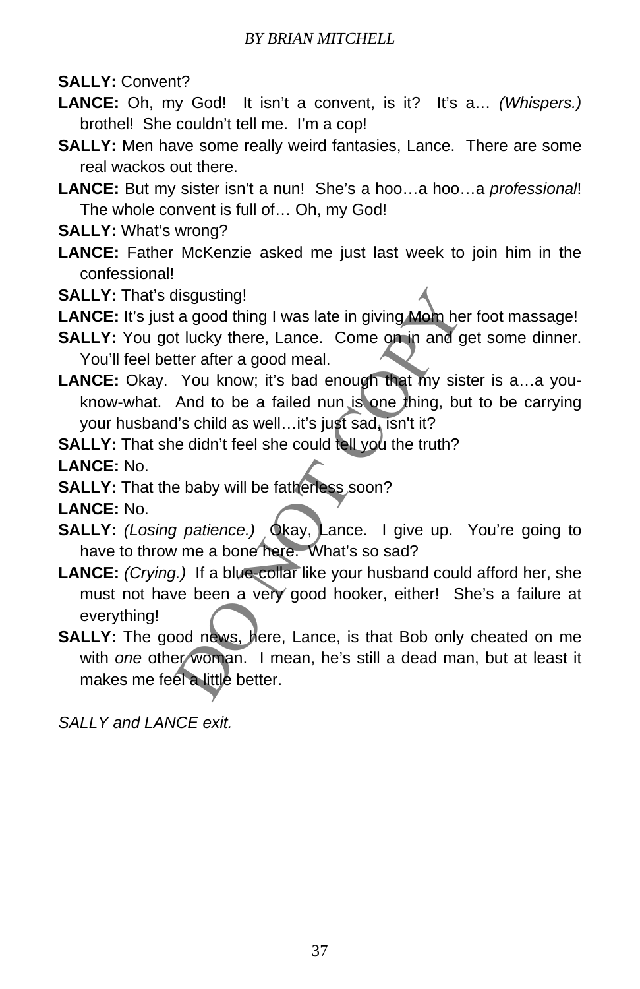**SALLY:** Convent?

- **LANCE:** Oh, my God! It isn't a convent, is it? It's a… *(Whispers.)*  brothel! She couldn't tell me. I'm a cop!
- **SALLY:** Men have some really weird fantasies, Lance. There are some real wackos out there.
- **LANCE:** But my sister isn't a nun! She's a hoo…a hoo…a *professional*! The whole convent is full of… Oh, my God!
- **SALLY:** What's wrong?
- **LANCE:** Father McKenzie asked me just last week to join him in the confessional!
- **SALLY:** That's disgusting!
- **LANCE:** It's just a good thing I was late in giving Mom her foot massage!
- **SALLY:** You got lucky there, Lance. Come on in and get some dinner. You'll feel better after a good meal.
- LANCE: Okay. You know; it's bad enough that my sister is a...a youknow-what. And to be a failed nun is one thing, but to be carrying your husband's child as well…it's just sad, isn't it?

**SALLY:** That she didn't feel she could tell you the truth?

**LANCE:** No.

**SALLY:** That the baby will be fatherless soon?

**LANCE:** No.

- **SALLY:** *(Losing patience.)* Okay, Lance. I give up. You're going to have to throw me a bone here. What's so sad?
- disgusting!<br>
a good thing I was late in giving Mom her foot m:<br>
t lucky there, Lance. Come on in and get some<br>
tter after a good meal.<br>
You know; it's bad enough that my sister is a.<br>
And to be a failed nun is one thing, b **LANCE:** *(Crying.)* If a blue-collar like your husband could afford her, she must not have been a very good hooker, either! She's a failure at everything!
- **SALLY:** The good news, here, Lance, is that Bob only cheated on me with *one* other woman. I mean, he's still a dead man, but at least it makes me feel a little better.

*SALLY and LANCE exit.*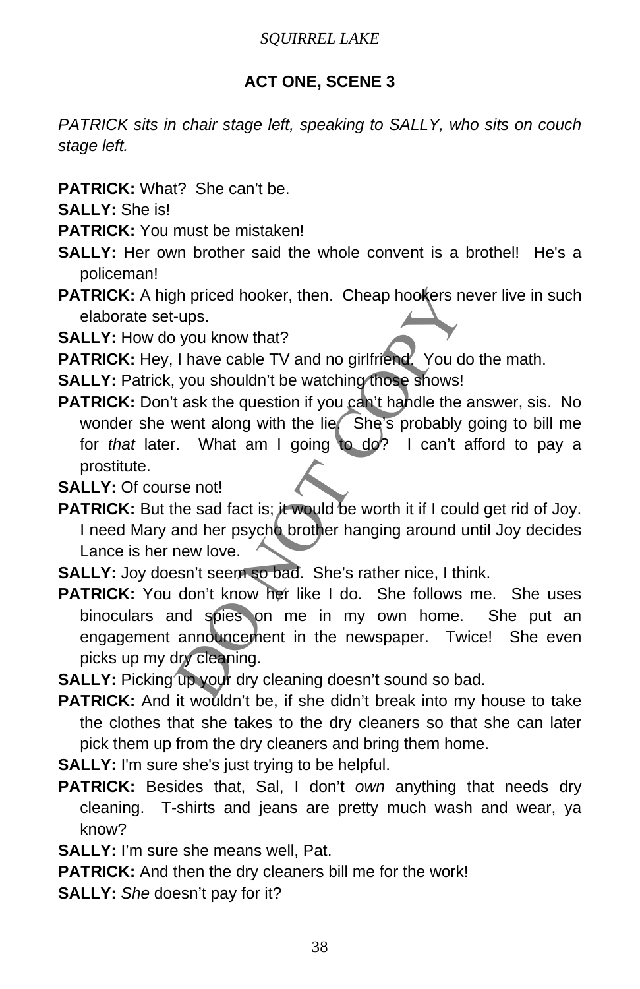# **ACT ONE, SCENE 3**

*PATRICK sits in chair stage left, speaking to SALLY, who sits on couch stage left.* 

**PATRICK:** What? She can't be.

**SALLY:** She is!

- **PATRICK:** You must be mistaken!
- **SALLY:** Her own brother said the whole convent is a brothel! He's a policeman!
- PATRICK: A high priced hooker, then. Cheap hookers never live in such elaborate set-ups.

**SALLY:** How do you know that?

PATRICK: Hey, I have cable TV and no girlfriend. You do the math.

**SALLY:** Patrick, you shouldn't be watching those shows!

The priced hooker, then. Cheap hookers never live<br>
u-ups.<br>
you know that?<br>
I have cable TV and no girlfriend. You do the ma<br>
you shouldn't be watching those shows!<br>
t ask the question if you can't handle the answer,<br>
went **PATRICK:** Don't ask the question if you can't handle the answer, sis. No wonder she went along with the lie. She's probably going to bill me for *that* later. What am I going to do? I can't afford to pay a prostitute.

**SALLY:** Of course not!

**PATRICK:** But the sad fact is; it would be worth it if I could get rid of Joy. I need Mary and her psycho brother hanging around until Joy decides Lance is her new love.

**SALLY:** Joy doesn't seem so bad. She's rather nice, I think.

**PATRICK:** You don't know her like I do. She follows me. She uses binoculars and spies on me in my own home. She put an engagement announcement in the newspaper. Twice! She even picks up my dry cleaning.

**SALLY:** Picking up your dry cleaning doesn't sound so bad.

**PATRICK:** And it wouldn't be, if she didn't break into my house to take the clothes that she takes to the dry cleaners so that she can later pick them up from the dry cleaners and bring them home.

**SALLY:** I'm sure she's just trying to be helpful.

**PATRICK:** Besides that, Sal, I don't *own* anything that needs dry cleaning. T-shirts and jeans are pretty much wash and wear, ya know?

**SALLY:** I'm sure she means well, Pat.

**PATRICK:** And then the dry cleaners bill me for the work!

**SALLY:** *She* doesn't pay for it?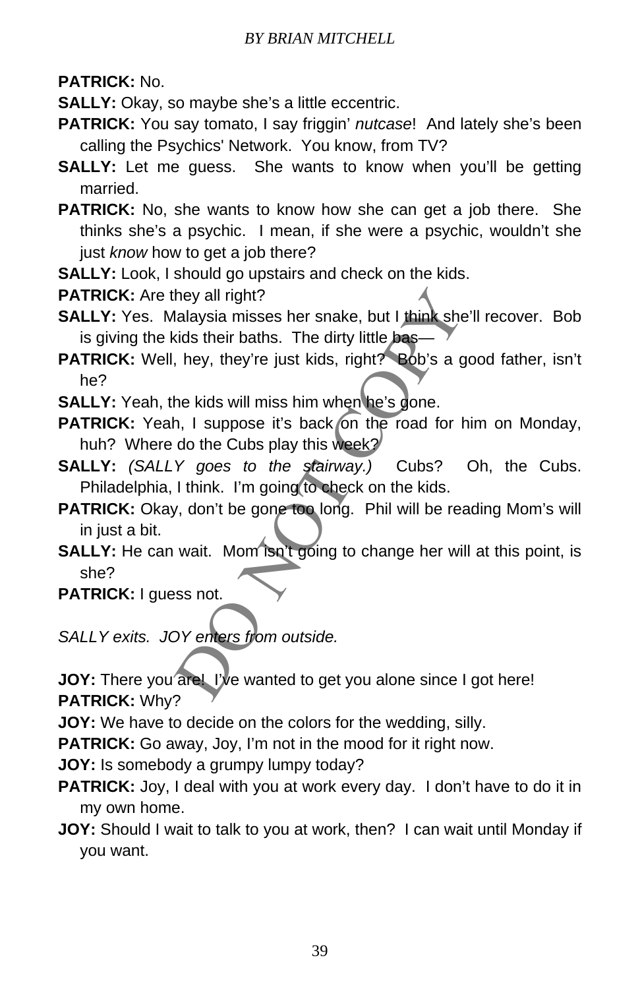**PATRICK:** No.

**SALLY:** Okay, so maybe she's a little eccentric.

- **PATRICK:** You say tomato, I say friggin' *nutcase*! And lately she's been calling the Psychics' Network. You know, from TV?
- **SALLY:** Let me quess. She wants to know when you'll be getting married.
- **PATRICK:** No, she wants to know how she can get a job there. She thinks she's a psychic. I mean, if she were a psychic, wouldn't she just *know* how to get a job there?
- **SALLY:** Look, I should go upstairs and check on the kids.

**PATRICK:** Are they all right?

- **SALLY:** Yes. Malaysia misses her snake, but I think she'll recover. Bob is giving the kids their baths. The dirty little bas-
- they all right?<br>
Ialaysia misses her snake, but I think she'll recover the status. The dirty little based<br>
the kids will miss him when he's gone.<br>
A hey, they're just kids, right? Bob's a good fatt<br>
the kids will miss him **PATRICK:** Well, hey, they're just kids, right? Bob's a good father, isn't he?
- **SALLY:** Yeah, the kids will miss him when he's gone.
- PATRICK: Yeah, I suppose it's back on the road for him on Monday, huh? Where do the Cubs play this week?
- **SALLY:** *(SALLY goes to the stairway.)* Cubs? Oh, the Cubs. Philadelphia, I think. I'm going to check on the kids.
- PATRICK: Okay, don't be gone too long. Phil will be reading Mom's will in just a bit.
- **SALLY:** He can wait. Mom isn't going to change her will at this point, is she?
- **PATRICK:** I guess not.
- *SALLY exits. JOY enters from outside.*
- **JOY:** There you are! I've wanted to get you alone since I got here! **PATRICK:** Why?

**JOY:** We have to decide on the colors for the wedding, silly.

**PATRICK:** Go away, Joy, I'm not in the mood for it right now.

**JOY:** Is somebody a grumpy lumpy today?

- **PATRICK:** Joy, I deal with you at work every day. I don't have to do it in my own home.
- **JOY:** Should I wait to talk to you at work, then? I can wait until Monday if you want.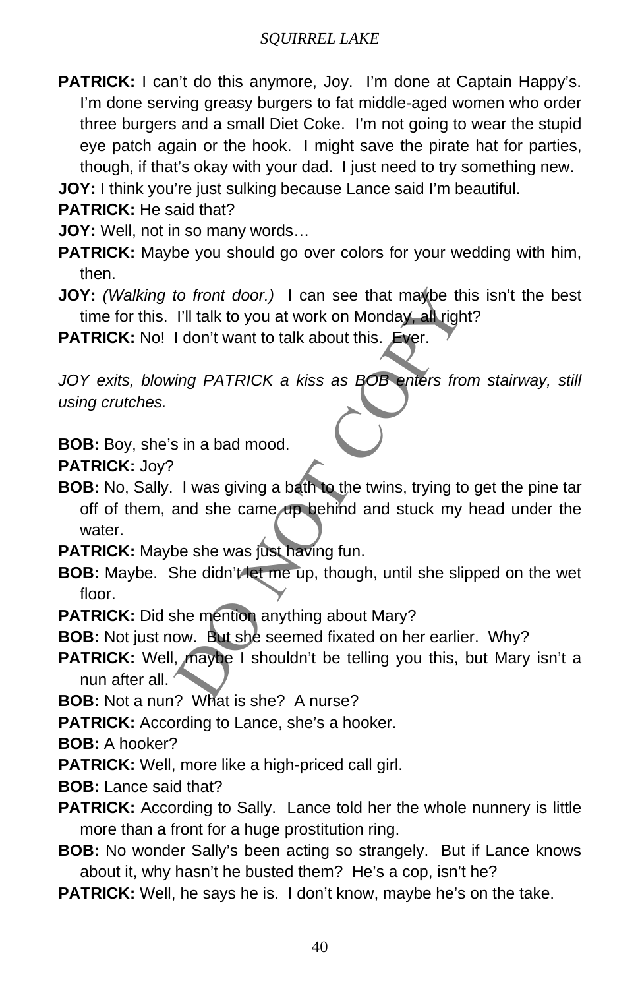**PATRICK:** I can't do this anymore, Joy. I'm done at Captain Happy's. I'm done serving greasy burgers to fat middle-aged women who order three burgers and a small Diet Coke. I'm not going to wear the stupid eye patch again or the hook. I might save the pirate hat for parties, though, if that's okay with your dad. I just need to try something new.

**JOY:** I think you're just sulking because Lance said I'm beautiful.

**PATRICK:** He said that?

**JOY:** Well, not in so many words…

- **PATRICK:** Maybe you should go over colors for your wedding with him, then.
- **JOY:** *(Walking to front door.)* I can see that maybe this isn't the best time for this. I'll talk to you at work on Monday, all right?

**PATRICK:** No! I don't want to talk about this. Ever.

*JOY exits, blowing PATRICK a kiss as BOB enters from stairway, still using crutches.* 

**BOB:** Boy, she's in a bad mood.

**PATRICK:** Joy?

to front door.) I can see that maybe this isn't i<br>
I'll talk to you at work on Monday, all right?<br>
I don't want to talk about this. Ever.<br>
<br>
sing PATRICK a kiss as BOB enters from stain<br>
<br>
sin a bad mood.<br>
I was giving a b **BOB:** No, Sally. I was giving a bath to the twins, trying to get the pine tar off of them, and she came up behind and stuck my head under the water.

**PATRICK:** Maybe she was just having fun.

- **BOB:** Maybe. She didn't let me up, though, until she slipped on the wet floor.
- **PATRICK:** Did she mention anything about Mary?

**BOB:** Not just now. But she seemed fixated on her earlier. Why?

**PATRICK:** Well, maybe I shouldn't be telling you this, but Mary isn't a nun after all.

**BOB:** Not a nun? What is she? A nurse?

**PATRICK:** According to Lance, she's a hooker.

**BOB:** A hooker?

**PATRICK:** Well, more like a high-priced call girl.

- **BOB:** Lance said that?
- PATRICK: According to Sally. Lance told her the whole nunnery is little more than a front for a huge prostitution ring.
- **BOB:** No wonder Sally's been acting so strangely. But if Lance knows about it, why hasn't he busted them? He's a cop, isn't he?
- **PATRICK:** Well, he says he is. I don't know, maybe he's on the take.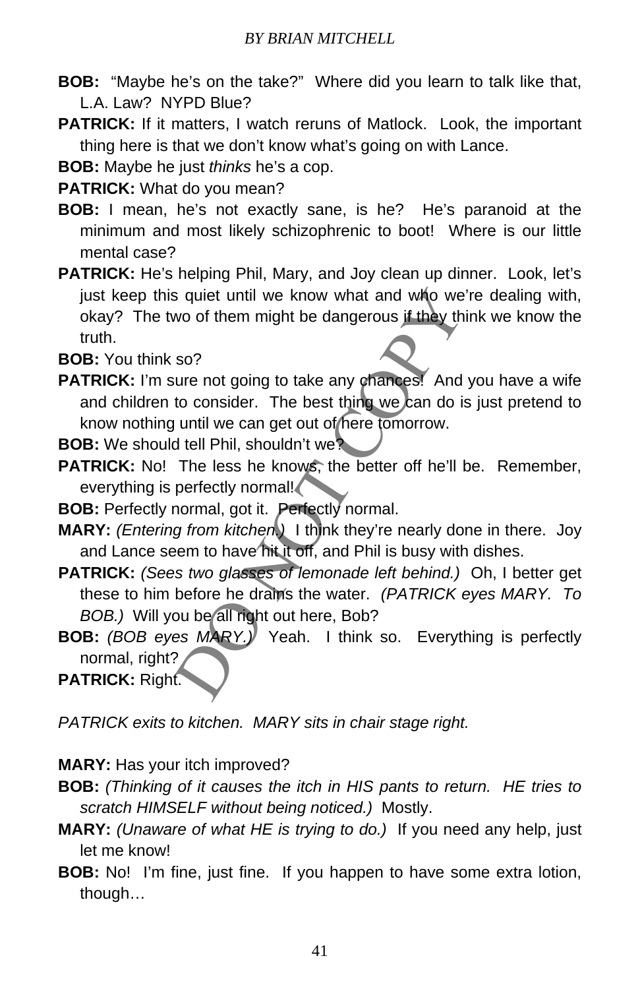- **BOB:** "Maybe he's on the take?" Where did you learn to talk like that, L.A. Law? NYPD Blue?
- **PATRICK:** If it matters, I watch reruns of Matlock. Look, the important thing here is that we don't know what's going on with Lance.

**BOB:** Maybe he just *thinks* he's a cop.

**PATRICK:** What do you mean?

- **BOB:** I mean, he's not exactly sane, is he? He's paranoid at the minimum and most likely schizophrenic to boot! Where is our little mental case?
- **PATRICK:** He's helping Phil, Mary, and Joy clean up dinner. Look, let's just keep this quiet until we know what and who we're dealing with, okay? The two of them might be dangerous if they think we know the truth.

**BOB:** You think so?

- **PATRICK:** I'm sure not going to take any chances! And you have a wife and children to consider. The best thing we can do is just pretend to know nothing until we can get out of here tomorrow.
- **BOB:** We should tell Phil, shouldn't we?
- **PATRICK:** No! The less he knows, the better off he'll be. Remember, everything is perfectly normal!
- **BOB:** Perfectly normal, got it. Perfectly normal.
- **MARY:** *(Entering from kitchen.)* I think they're nearly done in there. Joy and Lance seem to have hit it off, and Phil is busy with dishes.
- is quiet until we know what and who we're deal<br>wo of them might be dangerous if they think we k<br>so?<br>So?<br>We not going to take any changes! And you have<br>to consider. The best thing we can do is just pr<br>until we can get out o **PATRICK:** *(Sees two glasses of lemonade left behind.)* Oh, I better get these to him before he drains the water. *(PATRICK eyes MARY. To BOB.)* Will you be all right out here, Bob?
- **BOB:** *(BOB eyes MARY.)* Yeah. I think so. Everything is perfectly normal, right?

**PATRICK:** Right.

*PATRICK exits to kitchen. MARY sits in chair stage right.*

# **MARY:** Has your itch improved?

- **BOB:** *(Thinking of it causes the itch in HIS pants to return. HE tries to scratch HIMSELF without being noticed.)* Mostly.
- **MARY:** *(Unaware of what HE is trying to do.)* If you need any help, just let me know!
- **BOB:** No! I'm fine, just fine. If you happen to have some extra lotion, though…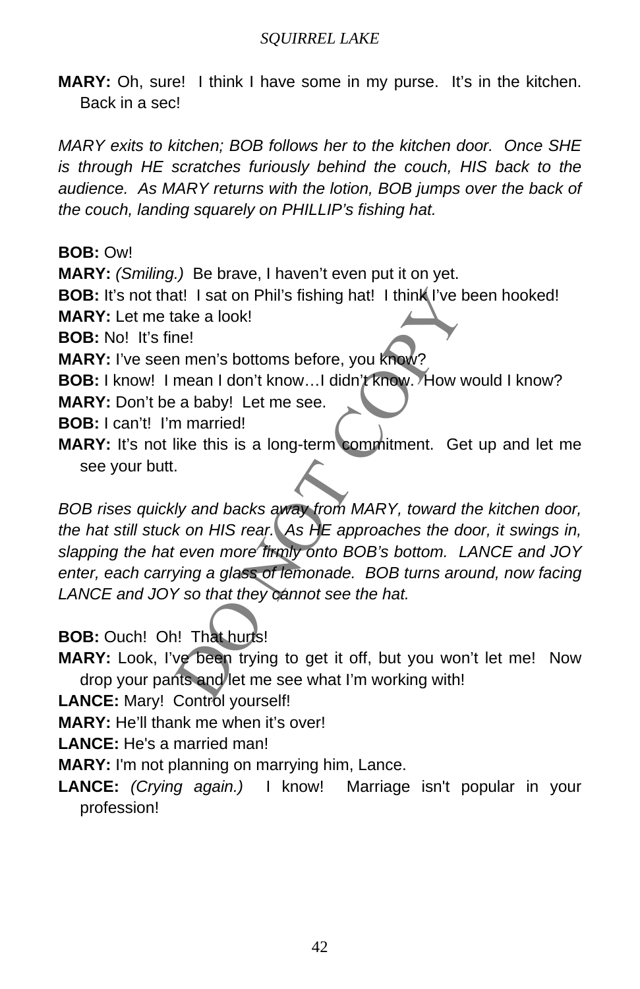**MARY:** Oh, sure! I think I have some in my purse. It's in the kitchen. Back in a sec!

*MARY exits to kitchen; BOB follows her to the kitchen door. Once SHE is through HE scratches furiously behind the couch, HIS back to the audience. As MARY returns with the lotion, BOB jumps over the back of the couch, landing squarely on PHILLIP's fishing hat.*

**BOB:** Ow!

**MARY:** *(Smiling.)* Be brave, I haven't even put it on yet.

**BOB:** It's not that! I sat on Phil's fishing hat! I think I've been hooked!

**MARY:** Let me take a look!

**BOB:** No! It's fine!

**MARY:** I've seen men's bottoms before, you know?

**BOB:** I know! I mean I don't know...I didn't know. How would I know?

**MARY:** Don't be a baby! Let me see.

**BOB:** I can't! I'm married!

**MARY:** It's not like this is a long-term commitment. Get up and let me see your butt.

at! I sat on Phil's fishing hat! I think I've been hooked a look!<br>
ne!<br>
n men's bottoms before, you know?<br>
mean I don't know...I didn't know.?<br>
How would I k<br>
a baby! Let me see.<br>
n married!<br>
like this is a long-term commi *BOB rises quickly and backs away from MARY, toward the kitchen door, the hat still stuck on HIS rear. As HE approaches the door, it swings in, slapping the hat even more firmly onto BOB's bottom. LANCE and JOY enter, each carrying a glass of lemonade. BOB turns around, now facing LANCE and JOY so that they cannot see the hat.*

**BOB:** Ouch! Oh! That hurts!

**MARY:** Look, I've been trying to get it off, but you won't let me! Now drop your pants and let me see what I'm working with!

**LANCE:** Mary! Control yourself!

**MARY:** He'll thank me when it's over!

**LANCE:** He's a married man!

**MARY:** I'm not planning on marrying him, Lance.

**LANCE:** *(Crying again.)* I know! Marriage isn't popular in your profession!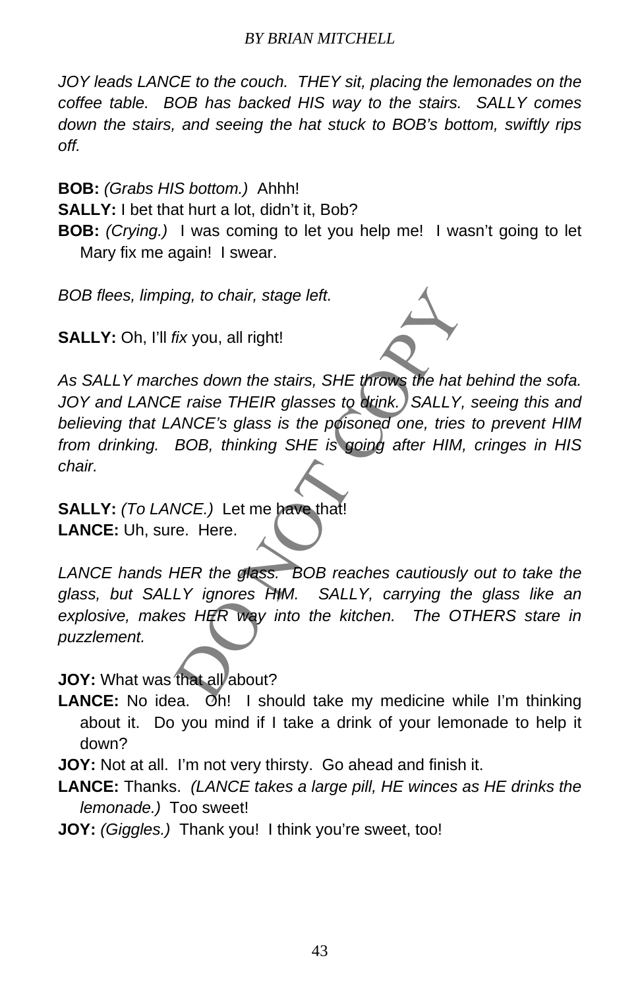*JOY leads LANCE to the couch. THEY sit, placing the lemonades on the coffee table. BOB has backed HIS way to the stairs. SALLY comes down the stairs, and seeing the hat stuck to BOB's bottom, swiftly rips off.* 

**BOB:** *(Grabs HIS bottom.)* Ahhh!

**SALLY:** I bet that hurt a lot, didn't it, Bob?

**BOB:** *(Crying.)* I was coming to let you help me! I wasn't going to let Mary fix me again! I swear.

*BOB flees, limping, to chair, stage left.*

**SALLY:** Oh, I'll *fix* you, all right!



ing, to chair, stage left.<br>
fix you, all right!<br>
fix you, all right!<br>
Feraise THEIR glasses to chink. SALLY, seeing<br>
ANCE's glass is the poisoned one, tries to prev<br>
BOB, thinking SHE is going after HIM, cringes<br>
NCE.) Let *As SALLY marches down the stairs, SHE throws the hat behind the sofa.*  JOY and LANCE raise THEIR glasses to drink. SALLY, seeing this and *believing that LANCE's glass is the poisoned one, tries to prevent HIM from drinking. BOB, thinking SHE is going after HIM, cringes in HIS chair.* 

**SALLY:** *(To LANCE.)* Let me have that! **LANCE:** Uh, sure. Here.

LANCE hands HER the glass. BOB reaches cautiously out to take the *glass, but SALLY ignores HIM. SALLY, carrying the glass like an explosive, makes HER way into the kitchen. The OTHERS stare in puzzlement.* 

**JOY:** What was that all about?

**LANCE:** No idea. Oh! I should take my medicine while I'm thinking about it. Do you mind if I take a drink of your lemonade to help it down?

**JOY:** Not at all. I'm not very thirsty. Go ahead and finish it.

- **LANCE:** Thanks. *(LANCE takes a large pill, HE winces as HE drinks the lemonade.)* Too sweet!
- **JOY:** *(Giggles.)* Thank you! I think you're sweet, too!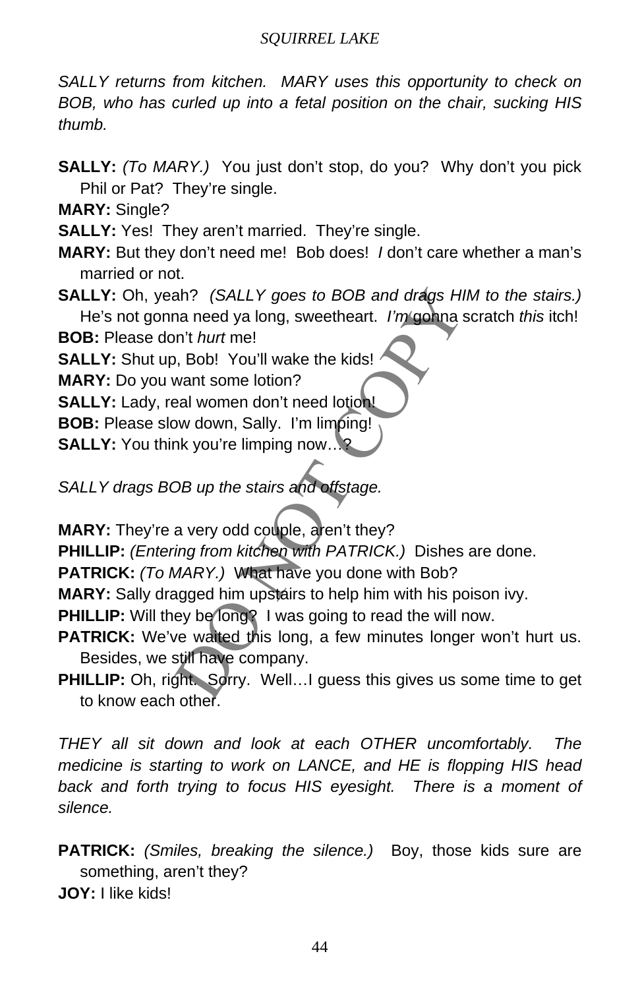*SALLY returns from kitchen. MARY uses this opportunity to check on BOB, who has curled up into a fetal position on the chair, sucking HIS thumb.*

**SALLY:** *(To MARY.)* You just don't stop, do you? Why don't you pick Phil or Pat? They're single.

**MARY:** Single?

**SALLY:** Yes! They aren't married. They're single.

- **MARY:** But they don't need me! Bob does! *I* don't care whether a man's married or not.
- ah? (SALLY goes to BOB and drags HIM to the<br>na need ya long, sweetheart. I'm gonna scratch to<br>n't hurt me!<br>b, Bob! You'll wake the kids!<br>want some lotion?<br>aal women don't need lotion<br>bw down, Sally. I'm limping!<br>hk you're **SALLY:** Oh, yeah? *(SALLY goes to BOB and drags HIM to the stairs.)*  He's not gonna need ya long, sweetheart. *I'm* gonna scratch *this* itch!

**BOB:** Please don't *hurt* me!

**SALLY:** Shut up, Bob! You'll wake the kids!

**MARY:** Do you want some lotion?

**SALLY:** Lady, real women don't need lotion!

**BOB:** Please slow down, Sally. I'm limping!

**SALLY:** You think you're limping now...?

*SALLY drags BOB up the stairs and offstage.*

**MARY:** They're a very odd couple, aren't they?

**PHILLIP:** *(Entering from kitchen with PATRICK.)* Dishes are done.

**PATRICK:** *(To MARY.)* What have you done with Bob?

**MARY:** Sally dragged him upstairs to help him with his poison ivy.

**PHILLIP:** Will they be long? I was going to read the will now.

- PATRICK: We've wallted this long, a few minutes longer won't hurt us. Besides, we still have company.
- **PHILLIP:** Oh, right. Sorry. Well...I guess this gives us some time to get to know each other.

*THEY all sit down and look at each OTHER uncomfortably. The medicine is starting to work on LANCE, and HE is flopping HIS head*  back and forth trying to focus HIS eyesight. There is a moment of *silence.*

**PATRICK:** *(Smiles, breaking the silence.)* Boy, those kids sure are something, aren't they? **JOY:** I like kids!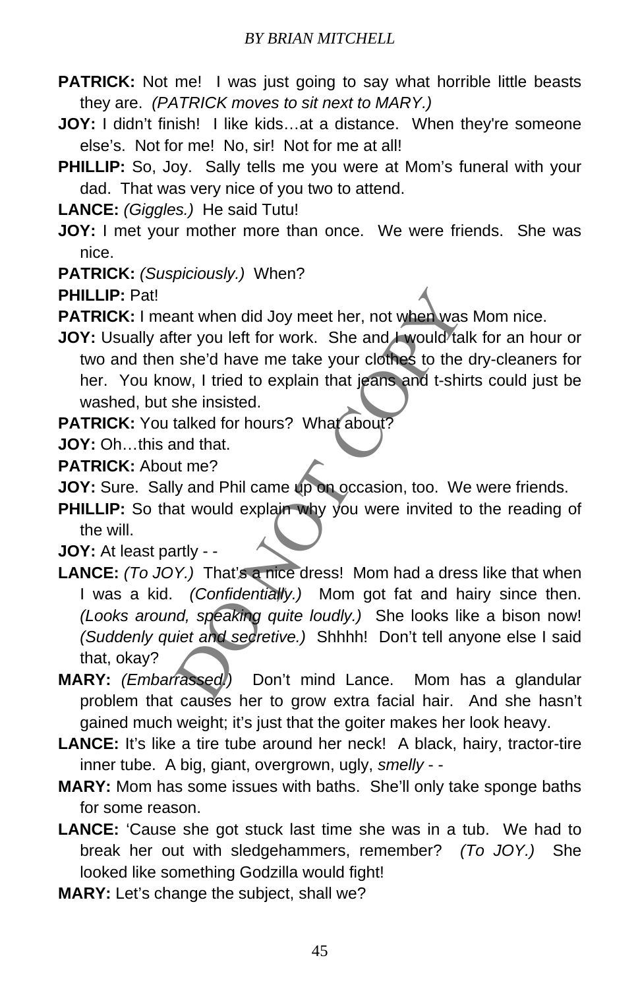- **PATRICK:** Not me! I was just going to say what horrible little beasts they are. *(PATRICK moves to sit next to MARY.)*
- **JOY:** I didn't finish! I like kids...at a distance. When they're someone else's. Not for me! No, sir! Not for me at all!
- **PHILLIP:** So, Joy. Sally tells me you were at Mom's funeral with your dad. That was very nice of you two to attend.

**LANCE:** *(Giggles.)* He said Tutu!

**JOY:** I met your mother more than once. We were friends. She was nice.

**PATRICK:** *(Suspiciously.)* When?

**PHILLIP:** Pat!

**PATRICK:** I meant when did Joy meet her, not when was Mom nice.

- **JOY:** Usually after you left for work. She and I would talk for an hour or two and then she'd have me take your clothes to the dry-cleaners for her. You know, I tried to explain that jeans and t-shirts could just be washed, but she insisted.
- **PATRICK:** You talked for hours? What about?

**JOY:** Oh…this and that.

**PATRICK:** About me?

- **JOY:** Sure. Sally and Phil came up on occasion, too. We were friends.
- **PHILLIP:** So that would explain why you were invited to the reading of the will.

**JOY:** At least partly - -

- ant when did Joy meet her, not when was Mom n<br>ter you left for work. She and I would talk for an<br>she'd have me take your clothes to the dry-clea<br>ow, I tried to explain that jeans and t-shirts could<br>she insisted.<br>talked for **LANCE:** *(To JOY.)* That's a nice dress! Mom had a dress like that when I was a kid. *(Confidentially.)* Mom got fat and hairy since then. *(Looks around, speaking quite loudly.)* She looks like a bison now! *(Suddenly quiet and secretive.)* Shhhh! Don't tell anyone else I said that, okay?
- **MARY:** *(Embarrassed.)* Don't mind Lance. Mom has a glandular problem that causes her to grow extra facial hair. And she hasn't gained much weight; it's just that the goiter makes her look heavy.
- **LANCE:** It's like a tire tube around her neck! A black, hairy, tractor-tire inner tube. A big, giant, overgrown, ugly, *smelly* - -
- **MARY:** Mom has some issues with baths. She'll only take sponge baths for some reason.
- **LANCE:** 'Cause she got stuck last time she was in a tub. We had to break her out with sledgehammers, remember? *(To JOY.)* She looked like something Godzilla would fight!
- **MARY:** Let's change the subject, shall we?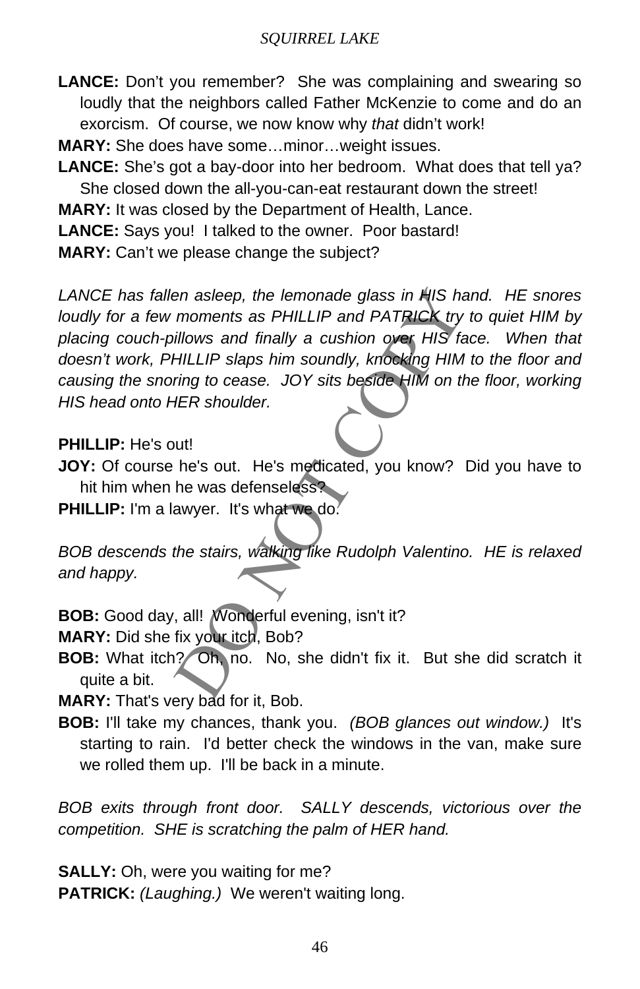**LANCE:** Don't you remember? She was complaining and swearing so loudly that the neighbors called Father McKenzie to come and do an exorcism. Of course, we now know why *that* didn't work!

**MARY:** She does have some…minor…weight issues.

**LANCE:** She's got a bay-door into her bedroom. What does that tell ya? She closed down the all-you-can-eat restaurant down the street!

**MARY:** It was closed by the Department of Health, Lance.

**LANCE:** Says you! I talked to the owner. Poor bastard!

**MARY:** Can't we please change the subject?

en asleep, the lemonade glass in HIS hand. HE<br>moments as PHILLIP and PATRICK try to quiet<br>illows and finally a cushion over HIS face. WHILLIP slaps him soundly, knocking HIM to the f<br>ring to cease. JOY sits beside HIM on t *LANCE has fallen asleep, the lemonade glass in HIS hand. HE snores loudly for a few moments as PHILLIP and PATRICK try to quiet HIM by placing couch-pillows and finally a cushion over HIS face. When that doesn't work, PHILLIP slaps him soundly, knocking HIM to the floor and causing the snoring to cease. JOY sits beside HIM on the floor, working HIS head onto HER shoulder.* 

#### **PHILLIP:** He's out!

**JOY:** Of course he's out. He's medicated, you know? Did you have to hit him when he was defenseless?

**PHILLIP:** I'm a lawyer. It's what we do.

*BOB descends the stairs, walking like Rudolph Valentino. HE is relaxed and happy.*

**BOB:** Good day, all! Wonderful evening, isn't it?

**MARY:** Did she fix your itch, Bob?

**BOB:** What itch? Oh, no. No, she didn't fix it. But she did scratch it quite a bit.

**MARY:** That's very bad for it, Bob.

**BOB:** I'll take my chances, thank you. *(BOB glances out window.)* It's starting to rain. I'd better check the windows in the van, make sure we rolled them up. I'll be back in a minute.

*BOB exits through front door. SALLY descends, victorious over the competition. SHE is scratching the palm of HER hand.*

**SALLY:** Oh, were you waiting for me? **PATRICK:** *(Laughing.)* We weren't waiting long.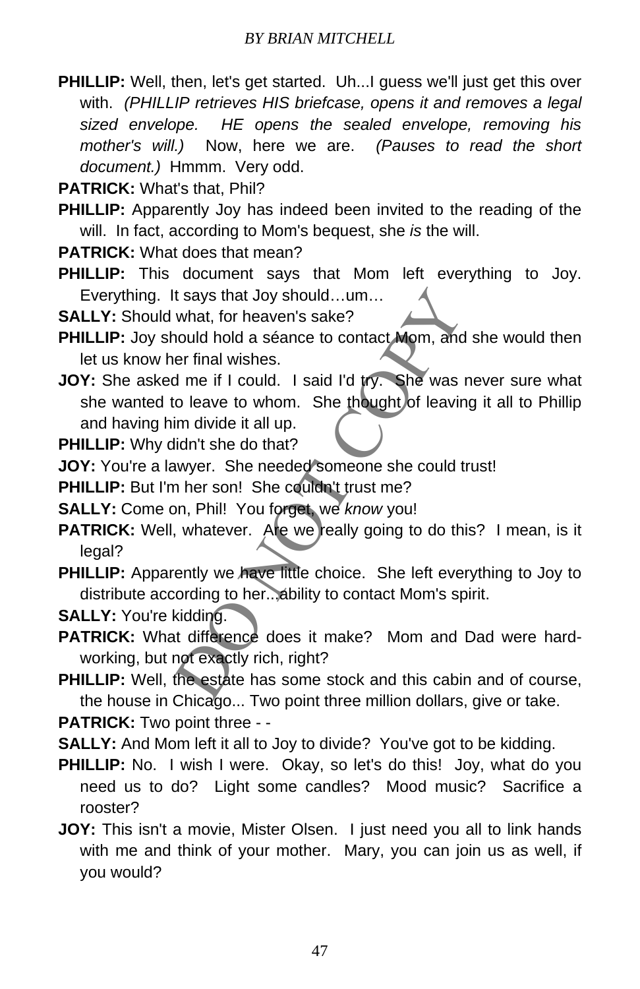- **PHILLIP:** Well, then, let's get started. Uh...I guess we'll just get this over with. *(PHILLIP retrieves HIS briefcase, opens it and removes a legal sized envelope. HE opens the sealed envelope, removing his mother's will.)* Now, here we are. *(Pauses to read the short document.)* Hmmm. Very odd.
- **PATRICK:** What's that, Phil?
- **PHILLIP:** Apparently Joy has indeed been invited to the reading of the will. In fact, according to Mom's bequest, she *is* the will.
- **PATRICK:** What does that mean?
- **PHILLIP:** This document says that Mom left everything to Joy. Everything. It says that Joy should…um…
- **SALLY:** Should what, for heaven's sake?
- **PHILLIP:** Joy should hold a séance to contact Mom, and she would then let us know her final wishes.
- It says that Joy should...um...<br>
what, for heaven's sake?<br>
nould hold a séance to contact Mom, and she wo<br>
er final wishes.<br>
d me if I could. I said I'd try. She was never st<br>
to leave to whom. She thought of leaving it al **JOY:** She asked me if I could. I said I'd try. She was never sure what she wanted to leave to whom. She thought of leaving it all to Phillip and having him divide it all up.

**PHILLIP:** Why didn't she do that?

**JOY:** You're a lawyer. She needed someone she could trust!

**PHILLIP:** But I'm her son! She couldn't trust me?

- **SALLY:** Come on, Phil! You forget, we *know* you!
- PATRICK: Well, whatever. Are we really going to do this? I mean, is it legal?
- **PHILLIP:** Apparently we have little choice. She left everything to Joy to distribute according to her...ability to contact Mom's spirit.
- **SALLY:** You're kidding.
- **PATRICK:** What difference does it make? Mom and Dad were hardworking, but not exactly rich, right?
- **PHILLIP:** Well, the estate has some stock and this cabin and of course, the house in Chicago... Two point three million dollars, give or take.

**PATRICK:** Two point three - -

- **SALLY:** And Mom left it all to Joy to divide? You've got to be kidding.
- **PHILLIP:** No. I wish I were. Okay, so let's do this! Joy, what do you need us to do? Light some candles? Mood music? Sacrifice a rooster?
- **JOY:** This isn't a movie, Mister Olsen. I just need you all to link hands with me and think of your mother. Mary, you can join us as well, if you would?